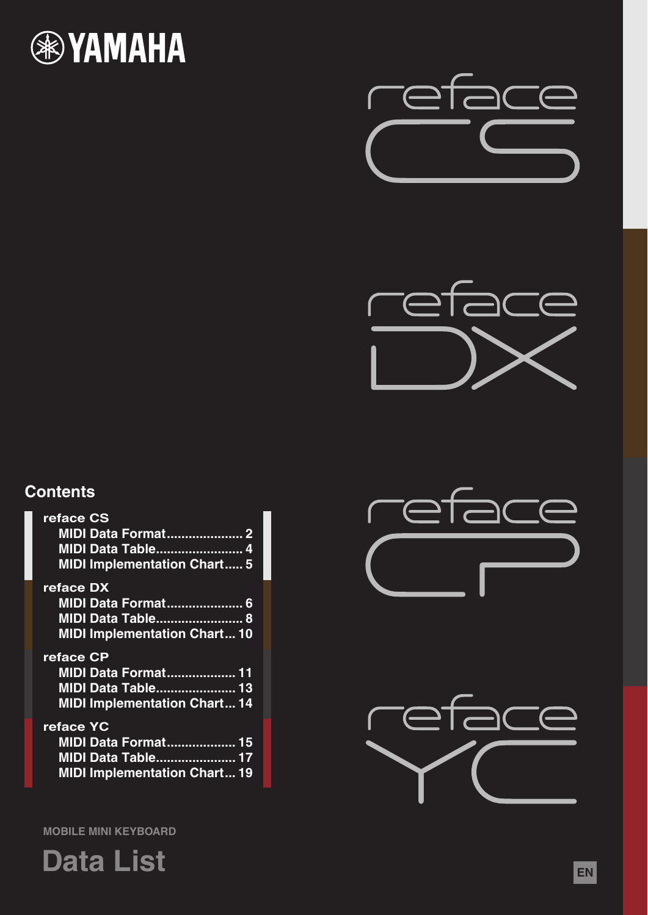





# **Contents**

| reface CS<br><b>MIDI Data Format 2</b><br><b>MIDI Data Table 4</b><br><b>MIDI Implementation Chart 5</b>    |
|-------------------------------------------------------------------------------------------------------------|
| reface DX<br><b>MIDI Data Format 6</b><br><b>MIDI Data Table 8</b><br><b>MIDI Implementation Chart10</b>    |
| reface CP<br><b>MIDI Data Format 11</b><br><b>MIDI Data Table 13</b><br><b>MIDI Implementation Chart 14</b> |
| reface YC<br><b>MIDI Data Format 15</b><br><b>MIDI Data Table 17</b>                                        |





**MOBILE MINI KEYBOARD**

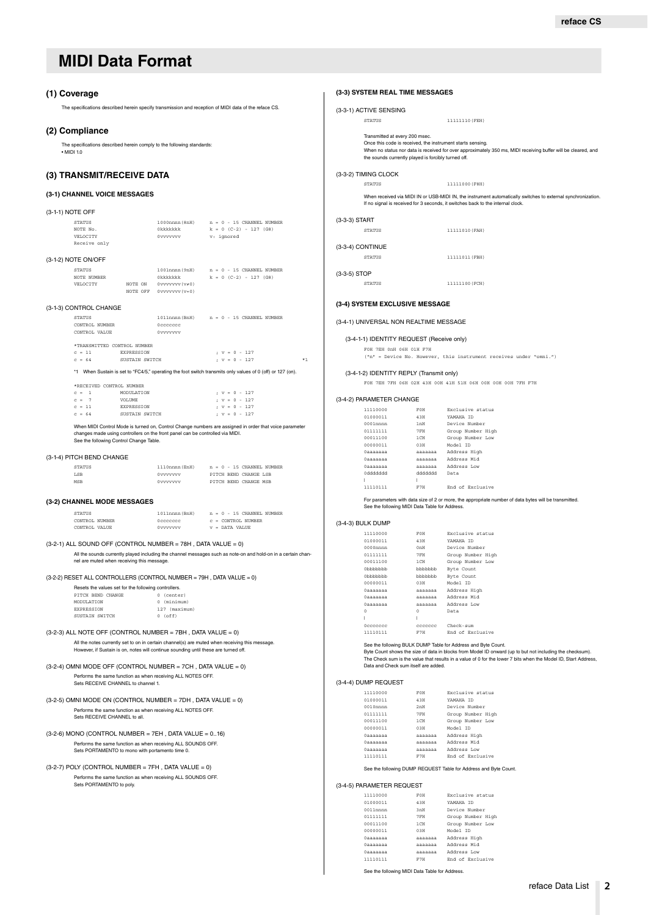#### <span id="page-1-1"></span><span id="page-1-0"></span>**(1) Coverage**

The specifications described herein specify transmission and reception of MIDI data of the reface CS.

#### **(2) Compliance**

The specifications described herein comply to the following standards: • MIDI 1.0

### **(3) TRANSMIT/RECEIVE DATA**

### **(3-1) CHANNEL VOICE MESSAGES**

|                  | (3" I ) CHANNEL VOICE MESSAGES                        |                              |                                                   |                                                                                          |      |
|------------------|-------------------------------------------------------|------------------------------|---------------------------------------------------|------------------------------------------------------------------------------------------|------|
| (3-1-1) NOTE OFF |                                                       |                              |                                                   |                                                                                          |      |
|                  | <b>STATUS</b><br>NOTE No.<br>VELOCITY<br>Receive only |                              | 0vvvvvvv v: ignored                               | $1000$ nnnn $(8nH)$ n = 0 - 15 CHANNEL NUMBER                                            |      |
|                  | (3-1-2) NOTE ON/OFF                                   |                              |                                                   |                                                                                          |      |
|                  | <b>STATUS</b><br>NOTE NUMBER<br>VELOCITY              |                              | NOTE ON 0vvvvvvv (v≠0)<br>NOTE OFF 0vvvvvvv (v=0) | $1001$ nnnn $(9nH)$ $n = 0 - 15$ CHANNEL NUMBER<br>$0$ kkkkkkkk $k = 0$ (C-2) - 127 (G8) |      |
|                  | (3-1-3) CONTROL CHANGE                                |                              |                                                   |                                                                                          |      |
|                  | <b>STATUS</b><br>CONTROL NUMBER<br>CONTROL VALUE      |                              | Occccccc<br>0vvvvvvv                              | 1011nnnn(BnH) n = 0 - 15 CHANNEL NUMBER                                                  |      |
|                  | *TRANSMITTED CONTROL NUMBER<br>$c = 11$<br>$c = 64$   | EXPRESSION<br>SUSTAIN SWITCH |                                                   | ; $v = 0 - 127$<br>$: v = 0 - 127$                                                       | $*1$ |
|                  |                                                       |                              |                                                   |                                                                                          |      |

\*1 When Sustain is set to "FC4/5," operating the foot switch transmits only values of 0 (off) or 127 (on).

|  |          | *RECEIVED CONTROL NUMBER |  |  |                 |
|--|----------|--------------------------|--|--|-----------------|
|  | $c = 1$  | MODIJI.ATION             |  |  | $: v = 0 - 127$ |
|  | $C = 7$  | <b>VOLUME</b>            |  |  | ; $v = 0 - 127$ |
|  | $c = 11$ | <b>EXPRESSION</b>        |  |  | $: v = 0 - 127$ |
|  | $C = 64$ | SUSTAIN SWITCH           |  |  | $: v = 0 - 127$ |

When MIDI Control Mode is turned on, Control Change numbers are assigned in order that voice parameter<br>changes made using controllers on the front panel can be controlled via MIDI.<br>See the following Control Change Table.

#### (3-1-4) PITCH BEND CHANGE

| <b>STATUS</b> | 1110nnnn (EnH) |  | $n = 0 - 15$ CHANNEL NUMBER |
|---------------|----------------|--|-----------------------------|
| <b>LSB</b>    | Ovvvvvvv       |  | PITCH BEND CHANGE LSB       |
| MSR           | Ovvvvvvv       |  | PITCH BEND CHANGE MSB       |

#### **(3-2) CHANNEL MODE MESSAGES**

| STATUS         | 1011nnnn (BnH) |  | $n = 0 - 15$ CHANNEL NUMBER |
|----------------|----------------|--|-----------------------------|
| CONTROL NUMBER | Occoccoc       |  | $c =$ CONTROL NUMBER        |
| CONTROL VALUE  | Ovvvvvvv       |  | $v =$ DATA VALUE            |

#### $(3-2-1)$  ALL SOUND OFF  $(CONTROL NUMBER = 78H)$ . DATA VALUE = 0)

All the sounds currently played including the channel messages such as note-on and hold-on in a certain chan-nel are muted when receiving this message.

(3-2-2) RESET ALL CONTROLLERS (CONTROL NUMBER = 79H , DATA VALUE = 0)

| Resets the values set for the following controllers. |               |  |  |  |  |  |  |  |
|------------------------------------------------------|---------------|--|--|--|--|--|--|--|
| PITCH BEND CHANGE                                    | $0$ (center)  |  |  |  |  |  |  |  |
| MODIILATION                                          | 0 (minimum)   |  |  |  |  |  |  |  |
| <b>EXPRESSION</b>                                    | 127 (maximum) |  |  |  |  |  |  |  |
| SUSTAIN SWITCH                                       | $0$ (off)     |  |  |  |  |  |  |  |

- $(3-2-3)$  ALL NOTE OFF  $(CONTROL$  NUMBER = 7BH, DATA VALUE = 0) All the notes currently set to on in certain channel(s) are muted when receiving this message. However, if Sustain is on, notes will continue sounding until these are turned off.
- (3-2-4) OMNI MODE OFF (CONTROL NUMBER = 7CH , DATA VALUE = 0) Performs the same function as when receiving ALL NOTES OFF. Sets RECEIVE CHANNEL to channel 1.
- $(3-2-5)$  OMNI MODE ON  $(CONTROL$  NUMBER = 7DH, DATA VALUE = 0) Performs the same function as when receiving ALL NOTES OFF. Sets RECEIVE CHANNEL to all.
- $(3-2-6)$  MONO (CONTROL NUMBER = 7EH, DATA VALUE =  $0..16$ ) Performs the same function as when receiving ALL SOUNDS OFF. Sets PORTAMENTO to mono with portamento time 0.

(3-2-7) POLY (CONTROL NUMBER =  $7FH$ , DATA VALUE = 0) Performs the same function as when receiving ALL SOUNDS OFF. Sets PORTAMENTO to poly.

| (3-3-1) ACTIVE SENSING   |                                                                                                                                                     |                                                                                                                                                                                                |
|--------------------------|-----------------------------------------------------------------------------------------------------------------------------------------------------|------------------------------------------------------------------------------------------------------------------------------------------------------------------------------------------------|
| <b>STATUS</b>            |                                                                                                                                                     | 11111110 (FEH)                                                                                                                                                                                 |
|                          | Transmitted at every 200 msec.<br>Once this code is received, the instrument starts sensing.<br>the sounds currently played is forcibly turned off. | When no status nor data is received for over approximately 350 ms, MIDI receiving buffer will be cleared, and                                                                                  |
| (3-3-2) TIMING CLOCK     |                                                                                                                                                     |                                                                                                                                                                                                |
| <b>STATUS</b>            |                                                                                                                                                     | 11111000 (F8H)                                                                                                                                                                                 |
|                          |                                                                                                                                                     | When received via MIDI IN or USB-MIDI IN, the instrument automatically switches to external synchronization<br>If no signal is received for 3 seconds, it switches back to the internal clock. |
| (3-3-3) START            |                                                                                                                                                     |                                                                                                                                                                                                |
| <b>STATUS</b>            |                                                                                                                                                     | 11111010 (FAH)                                                                                                                                                                                 |
| (3-3-4) CONTINUE         |                                                                                                                                                     |                                                                                                                                                                                                |
| <b>STATUS</b>            |                                                                                                                                                     | 11111011 (FBH)                                                                                                                                                                                 |
|                          |                                                                                                                                                     |                                                                                                                                                                                                |
| (3-3-5) STOP             |                                                                                                                                                     |                                                                                                                                                                                                |
| STATUS                   |                                                                                                                                                     | 11111100 (FCH)                                                                                                                                                                                 |
|                          | (3-4) SYSTEM EXCLUSIVE MESSAGE                                                                                                                      |                                                                                                                                                                                                |
|                          |                                                                                                                                                     |                                                                                                                                                                                                |
|                          | (3-4-1) UNIVERSAL NON REALTIME MESSAGE                                                                                                              |                                                                                                                                                                                                |
|                          | (3-4-1-1) IDENTITY REQUEST (Receive only)                                                                                                           |                                                                                                                                                                                                |
|                          | FOH 7EH OnH O6H O1H F7H                                                                                                                             |                                                                                                                                                                                                |
|                          |                                                                                                                                                     | ("n" = Device No. However, this instrument receives under "omni.")                                                                                                                             |
|                          | (3-4-1-2) IDENTITY REPLY (Transmit only)                                                                                                            |                                                                                                                                                                                                |
|                          |                                                                                                                                                     | FOH 7EH 7FH 06H 02H 43H 00H 41H 51H 06H 00H 00H 00H 7FH F7H                                                                                                                                    |
| (3-4-2) PARAMETER CHANGE |                                                                                                                                                     |                                                                                                                                                                                                |
| 11110000                 | FOH                                                                                                                                                 | Exclusive status                                                                                                                                                                               |
| 01000011                 | 43H                                                                                                                                                 | YAMAHA ID                                                                                                                                                                                      |
| $0001$ nnnn              | lnH                                                                                                                                                 | Device Number                                                                                                                                                                                  |
| 01111111                 | 7FH                                                                                                                                                 | Group Number High                                                                                                                                                                              |
| 00011100                 | 1 CH                                                                                                                                                | Group Number Low                                                                                                                                                                               |
| 00000011                 | 03H                                                                                                                                                 | Model ID                                                                                                                                                                                       |
| Oaaaaaaa                 |                                                                                                                                                     | aaaaaaa Address High                                                                                                                                                                           |
| Oaaaaaaa<br>Oaaaaaaa     |                                                                                                                                                     | aaaaaaa Address Mid<br>aaaaaaa Address Low                                                                                                                                                     |
| 0dddddd                  |                                                                                                                                                     | dddddd Data                                                                                                                                                                                    |
| $\mathbf{I}$             | л.                                                                                                                                                  |                                                                                                                                                                                                |
| 11110111                 | F7H                                                                                                                                                 | End of Exclusive                                                                                                                                                                               |
|                          | See the following MIDI Data Table for Address.                                                                                                      | For parameters with data size of 2 or more, the appropriate number of data bytes will be transmitted.                                                                                          |
| (3-4-3) BULK DUMP        |                                                                                                                                                     |                                                                                                                                                                                                |
| 11110000                 | FOH                                                                                                                                                 | Exclusive status                                                                                                                                                                               |
| 01000011                 | 43H                                                                                                                                                 | YAMAHA ID                                                                                                                                                                                      |
| 0000nnnn                 | 0nH                                                                                                                                                 | Device Number                                                                                                                                                                                  |
| 01111111                 | $7\,\mathrm{FH}$                                                                                                                                    | Group Number High                                                                                                                                                                              |
| 00011100                 | 1 CH                                                                                                                                                | Group Number Low                                                                                                                                                                               |
| 0bbbbbb                  | $b$ bbbbbb                                                                                                                                          | Byte Count                                                                                                                                                                                     |
| 0bbbbbbb                 | $b \bar b b \bar b b \bar b b$                                                                                                                      | Byte Count                                                                                                                                                                                     |
| 00000011                 | 03H                                                                                                                                                 | Model ID                                                                                                                                                                                       |
| Oaaaaaaa                 | $a$ aaaaaa                                                                                                                                          | Address High                                                                                                                                                                                   |
| $0$ aaaaaaa              | aaaaaaa                                                                                                                                             | Address Mid                                                                                                                                                                                    |
| Oaaaaaaa                 | aaaaaaa                                                                                                                                             | Address Low                                                                                                                                                                                    |
|                          |                                                                                                                                                     |                                                                                                                                                                                                |
| $\Omega$<br>J.           | $\Omega$<br>J.                                                                                                                                      | Data                                                                                                                                                                                           |

0ccccccc ccccccc Check-sum 11110111 F7H End of Exclusive

See the following BULK DUMP Table for Address and Byte Count.<br>Byte Count shows the size of data in blocks from Model ID onward (up to but not including the checksum).<br>The Check sum is the value that results in a value of 0

#### (3-4-4) DUMP REQUEST

| 11110000    | FOH             | Exclusive status  |
|-------------|-----------------|-------------------|
| 01000011    | 43H             | YAMAHA TD         |
| $0010$ nnnn | 2nH             | Device Number     |
| 01111111    | 7FH             | Group Number High |
| 00011100    | $1$ CH          | Group Number Low  |
| 00000011    | 0 <sub>RH</sub> | Model ID          |
| 0aaaaaaa    | <b>AAAAAAA</b>  | Address High      |
| Одаааааа    | aaaaaaa         | Address Mid       |
| Одаааааа    | <b>AAAAAAA</b>  | Address Low       |
| 11110111    | F7H             | End of Exclusive  |
|             |                 |                   |

See the following DUMP REQUEST Table for Address and Byte Count.

#### (3-4-5) PARAMETER REQUEST

| 11110000    | FOH             | Exclusive status  |
|-------------|-----------------|-------------------|
| 01000011    | 43H             | YAMAHA TD         |
| $0011$ nnnn | 3 nH            | Device Number     |
| 01111111    | 7FH             | Group Number High |
| 00011100    | $1$ CH          | Group Number Low  |
| 00000011    | 0 <sub>RH</sub> | Model ID          |
| Одаааааа    | aaaaaaa         | Address High      |
| Одаааааа    | <b>AAAAAAA</b>  | Address Mid       |
| Одаааааа    | <b>AAAAAAA</b>  | Address Low       |
| 11110111    | F7H             | End of Exclusive  |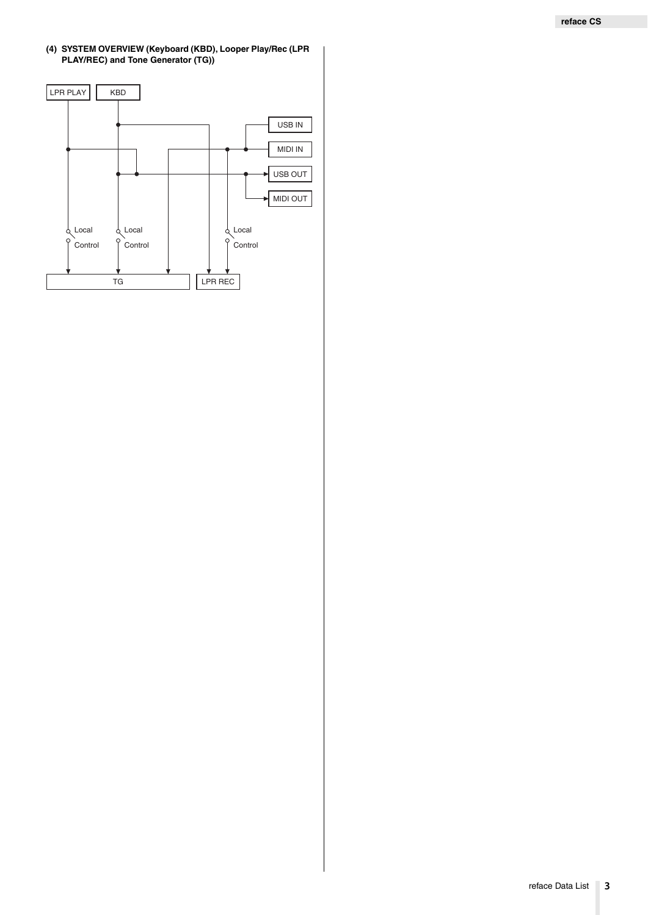#### **(4) SYSTEM OVERVIEW (Keyboard (KBD), Looper Play/Rec (LPR PLAY/REC) and Tone Generator (TG))**

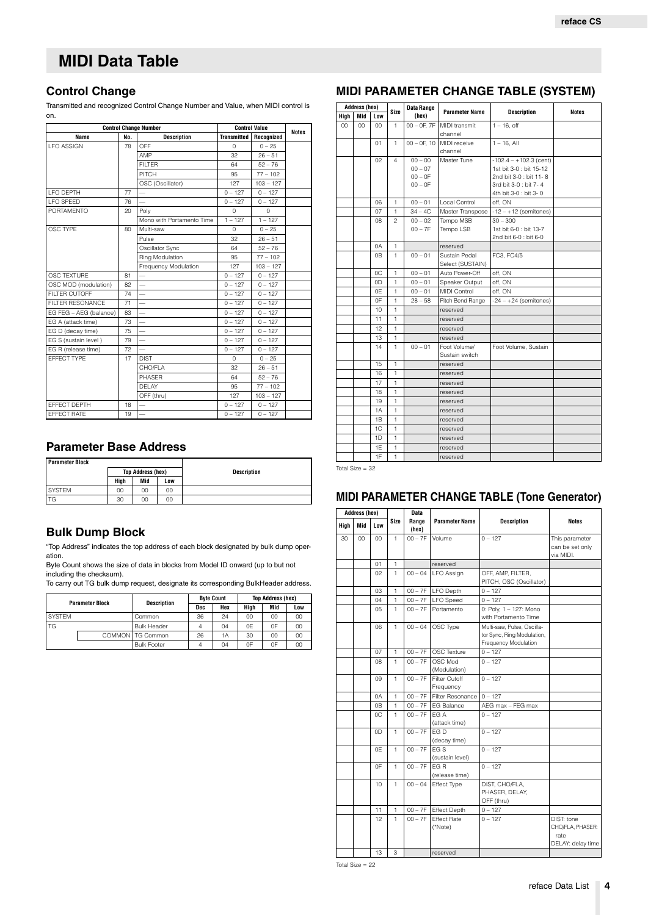## <span id="page-3-0"></span>**Control Change**

Transmitted and recognized Control Change Number and Value, when MIDI control is on.

| <b>Control Change Number</b> |     | <b>Control Value</b>      |                    |             |       |
|------------------------------|-----|---------------------------|--------------------|-------------|-------|
| Name                         | No. | <b>Description</b>        | <b>Transmitted</b> | Recognized  | Notes |
| <b>LFO ASSIGN</b>            | 78  | OFF                       | $\circ$            | $0 - 25$    |       |
|                              |     | AMP                       | 32                 | $26 - 51$   |       |
|                              |     | <b>FILTER</b>             | 64                 | $52 - 76$   |       |
|                              |     | PITCH                     | 95                 | $77 - 102$  |       |
|                              |     | OSC (Oscillator)          | 127                | $103 - 127$ |       |
| <b>I FO DEPTH</b>            | 77  |                           | $0 - 127$          | $0 - 127$   |       |
| <b>LFO SPEED</b>             | 76  |                           | $0 - 127$          | $0 - 127$   |       |
| PORTAMENTO                   | 20  | Poly                      | $\Omega$           | $\Omega$    |       |
|                              |     | Mono with Portamento Time | $1 - 127$          | $1 - 127$   |       |
| OSC TYPE                     | 80  | Multi-saw                 | $\Omega$           | $0 - 25$    |       |
|                              |     | Pulse                     | 32                 | $26 - 51$   |       |
|                              |     | Oscillator Sync           | 64                 | $52 - 76$   |       |
|                              |     | Ring Modulation           | 95                 | $77 - 102$  |       |
|                              |     | Frequency Modulation      | 127                | $103 - 127$ |       |
| OSC TEXTURE                  | 81  |                           | $0 - 127$          | $0 - 127$   |       |
| OSC MOD (modulation)         | 82  |                           | $0 - 127$          | $0 - 127$   |       |
| FILTER CUTOFF                | 74  | $\overline{\phantom{0}}$  | $0 - 127$          | $0 - 127$   |       |
| <b>FILTER RESONANCE</b>      | 71  |                           | $0 - 127$          | $0 - 127$   |       |
| EG FEG - AEG (balance)       | 83  |                           | $0 - 127$          | $0 - 127$   |       |
| EG A (attack time)           | 73  | $\overline{\phantom{0}}$  | $0 - 127$          | $0 - 127$   |       |
| EG D (decay time)            | 75  |                           | $0 - 127$          | $0 - 127$   |       |
| EG S (sustain level)         | 79  |                           | $0 - 127$          | $0 - 127$   |       |
| EG R (release time)          | 72  | $\overline{\phantom{0}}$  | $0 - 127$          | $0 - 127$   |       |
| EFFECT TYPE                  | 17  | <b>DIST</b>               | $\Omega$           | $0 - 25$    |       |
|                              |     | CHO/FLA                   | 32                 | $26 - 51$   |       |
|                              |     | <b>PHASER</b>             | 64                 | $52 - 76$   |       |
|                              |     | DFI AY                    | 95                 | $77 - 102$  |       |
|                              |     | OFF (thru)                | 127                | $103 - 127$ |       |
| EFFECT DEPTH                 | 18  |                           | $0 - 127$          | $0 - 127$   |       |
| FFFFCT RATE                  | 19  |                           | $0 - 127$          | $0 - 127$   |       |

## **Parameter Base Address**

| Parameter Block |  |
|-----------------|--|

| <b>Parameter Block</b>   |      |     |     |                    |
|--------------------------|------|-----|-----|--------------------|
| <b>Top Address (hex)</b> |      |     |     | <b>Description</b> |
|                          | Hiah | Mid | Low |                    |
| <b>SYSTEM</b>            | 00   | 00  | 00  |                    |
| TG                       | 30   | 00  | 00  |                    |
|                          |      |     |     |                    |

## **Bulk Dump Block**

"Top Address" indicates the top address of each block designated by bulk dump operation.

Byte Count shows the size of data in blocks from Model ID onward (up to but not including the checksum).

To carry out TG bulk dump request, designate its corresponding BulkHeader address.

|               | <b>Parameter Block</b> | <b>Description</b> |     | <b>Byte Count</b> | <b>Top Address (hex)</b> |     |     |  |  |
|---------------|------------------------|--------------------|-----|-------------------|--------------------------|-----|-----|--|--|
|               |                        |                    | Dec | Hex               | Hiah                     | Mid | Low |  |  |
| <b>SYSTEM</b> |                        | Common             | 36  | 24                | 00                       | 00  | 00  |  |  |
| <b>TG</b>     |                        | <b>Bulk Header</b> | 4   | 04                | 0E                       | 0F  | 00  |  |  |
|               |                        | COMMON   TG Common | 26  | 1A                | 30                       | 00  | 00  |  |  |
|               |                        | <b>Bulk Footer</b> |     | 04                | 0F                       | 0F  | 00  |  |  |

# **MIDI PARAMETER CHANGE TABLE (SYSTEM)**

| Address (hex) |                 |                | Data Range   |                |                       |                          |       |
|---------------|-----------------|----------------|--------------|----------------|-----------------------|--------------------------|-------|
| High          | Mid             | Low            | Size         | (hex)          | <b>Parameter Name</b> | <b>Description</b>       | Notes |
| $00\,$        | 00 <sub>0</sub> | $00 \,$        | 1            | $00 - 0F. 7F$  | MIDI transmit         | $1 - 16$ . off           |       |
|               |                 |                |              |                | channel               |                          |       |
|               |                 | 01             | 1            | $00 - 0F$ , 10 | MIDI receive          | $1 - 16$ . All           |       |
|               |                 |                |              |                | channel               |                          |       |
|               |                 | 02             | 4            | $00 - 00$      | Master Tune           | $-102.4 - +102.3$ (cent) |       |
|               |                 |                |              | $00 - 07$      |                       | 1st bit 3-0 : bit 15-12  |       |
|               |                 |                |              | $00 - 0F$      |                       | 2nd bit 3-0 : bit 11-8   |       |
|               |                 |                |              | $00 - 0F$      |                       | 3rd bit 3-0 : bit 7-4    |       |
|               |                 |                |              |                |                       | 4th bit 3-0 : bit 3-0    |       |
|               |                 | 06             | 1            | $00 - 01$      | Local Control         | off, ON                  |       |
|               |                 | 07             | 1            | $34 - 4C$      | Master Transpose      | $-12 - +12$ (semitones)  |       |
|               |                 | 08             | 2            | $00 - 02$      | Tempo MSB             | $30 - 300$               |       |
|               |                 |                |              | $00 - 7F$      | Tempo LSB             | 1st bit 6-0 : bit 13-7   |       |
|               |                 |                |              |                |                       | 2nd bit 6-0 : bit 6-0    |       |
|               |                 | 0A             | 1            |                | reserved              |                          |       |
|               |                 | 0B             | 1            | $00 - 01$      | Sustain Pedal         | FC3, FC4/5               |       |
|               |                 |                |              |                | Select (SUSTAIN)      |                          |       |
|               |                 | 0C             | 1            | $00 - 01$      | Auto Power-Off        | off, ON                  |       |
|               |                 | 0D             | 1            | $00 - 01$      | Speaker Output        | off. ON                  |       |
|               |                 | 0E             | 1            | $00 - 01$      | <b>MIDI Control</b>   | off. ON                  |       |
|               |                 | 0F             | $\mathbf{1}$ | $28 - 58$      | Pitch Bend Range      | $-24 - +24$ (semitones)  |       |
|               |                 | 10             | $\mathbf{1}$ |                | reserved              |                          |       |
|               |                 | 11             | $\mathbf{1}$ |                | reserved              |                          |       |
|               |                 | 12             | $\mathbf{1}$ |                | reserved              |                          |       |
|               |                 | 13             | 1            |                | reserved              |                          |       |
|               |                 | 14             | 1            | $00 - 01$      | Foot Volume/          | Foot Volume, Sustain     |       |
|               |                 |                |              |                | Sustain switch        |                          |       |
|               |                 | 15             | 1            |                | reserved              |                          |       |
|               |                 | 16             | $\mathbf{1}$ |                | reserved              |                          |       |
|               |                 | 17             | $\mathbf{1}$ |                | reserved              |                          |       |
|               |                 | 18             | $\mathbf{1}$ |                | reserved              |                          |       |
|               |                 | 19             | $\mathbf{1}$ |                | reserved              |                          |       |
|               |                 | 1A             | 1            |                | reserved              |                          |       |
|               |                 | 1B             | 1            |                | reserved              |                          |       |
|               |                 | 1C             | 1            |                | reserved              |                          |       |
|               |                 | 1 <sub>D</sub> | 1            |                | reserved              |                          |       |
|               |                 | 1E             | $\mathbf{1}$ |                | reserved              |                          |       |
|               |                 | 1F             | 1            |                | reserved              |                          |       |

Total Size = 32

## **MIDI PARAMETER CHANGE TABLE (Tone Generator)**

| <b>Address (hex)</b> |     |         | <b>Data</b>  |                |                               |                                                                                  |                                                             |
|----------------------|-----|---------|--------------|----------------|-------------------------------|----------------------------------------------------------------------------------|-------------------------------------------------------------|
| Hiah                 | Mid | Low     | Size         | Range<br>(hex) | <b>Parameter Name</b>         | <b>Description</b>                                                               | <b>Notes</b>                                                |
| 30                   | CO  | $00 \,$ | $\mathbf{1}$ | $00 - 7F$      | Volume                        | $0 - 127$                                                                        | This parameter<br>can be set only<br>via MIDI.              |
|                      |     | 01      | 1            |                | reserved                      |                                                                                  |                                                             |
|                      |     | 02      | 1            | $00 - 04$      | <b>LFO</b> Assign             | OFF, AMP, FILTER,<br>PITCH, OSC (Oscillator)                                     |                                                             |
|                      |     | 03      | $\mathbf{1}$ | $00 - 7F$      | <b>LFO Depth</b>              | $0 - 127$                                                                        |                                                             |
|                      |     | 04      | $\mathbf{1}$ | $00 - 7F$      | <b>LFO</b> Speed              | $0 - 127$                                                                        |                                                             |
|                      |     | 05      | $\mathbf{1}$ | $00 - 7F$      | Portamento                    | 0: Poly, 1 - 127: Mono<br>with Portamento Time                                   |                                                             |
|                      |     | 06      | 1            | $00 - 04$      | OSC Type                      | Multi-saw, Pulse, Oscilla-<br>tor Sync, Ring Modulation,<br>Frequency Modulation |                                                             |
|                      |     | 07      | $\mathbf{1}$ | $00 - 7F$      | <b>OSC Texture</b>            | $0 - 127$                                                                        |                                                             |
|                      |     | 80      | 1            | $00 - 7F$      | OSC Mod<br>(Modulation)       | $0 - 127$                                                                        |                                                             |
|                      |     | 09      | $\mathbf{1}$ | $00 - 7F$      | Filter Cutoff<br>Frequency    | $0 - 127$                                                                        |                                                             |
|                      |     | 0A      | $\mathbf{1}$ | $00 - 7F$      | Filter Resonance              | $0 - 127$                                                                        |                                                             |
|                      |     | 0B      | $\mathbf{1}$ | $00 - 7F$      | <b>EG Balance</b>             | AEG max - FEG max                                                                |                                                             |
|                      |     | 0C      | $\mathbf{1}$ | $00 - 7F$      | EG A<br>(attack time)         | $0 - 127$                                                                        |                                                             |
|                      |     | 0D      | $\mathbf{1}$ | $00 - 7F$      | FG D<br>(decay time)          | $0 - 127$                                                                        |                                                             |
|                      |     | 0E      | $\mathbf{1}$ | $00 - 7F$      | EG S<br>(sustain level)       | $0 - 127$                                                                        |                                                             |
|                      |     | 0F      | $\mathbf{1}$ | $00 - 7F$      | FG R<br>(release time)        | $0 - 127$                                                                        |                                                             |
|                      |     | 10      | 1            | $00 - 04$      | Effect Type                   | DIST, CHO/FLA,<br>PHASER, DELAY,<br>OFF (thru)                                   |                                                             |
|                      |     | 11      | $\mathbf{1}$ | $00 - 7F$      | <b>Effect Depth</b>           | $0 - 127$                                                                        |                                                             |
|                      |     | 12      | $\mathbf{1}$ | $00 - 7F$      | <b>Effect Rate</b><br>(*Note) | $0 - 127$                                                                        | DIST: tone<br>CHO/FLA, PHASER:<br>rate<br>DELAY: delay time |
|                      |     | 13      | 3            |                | reserved                      |                                                                                  |                                                             |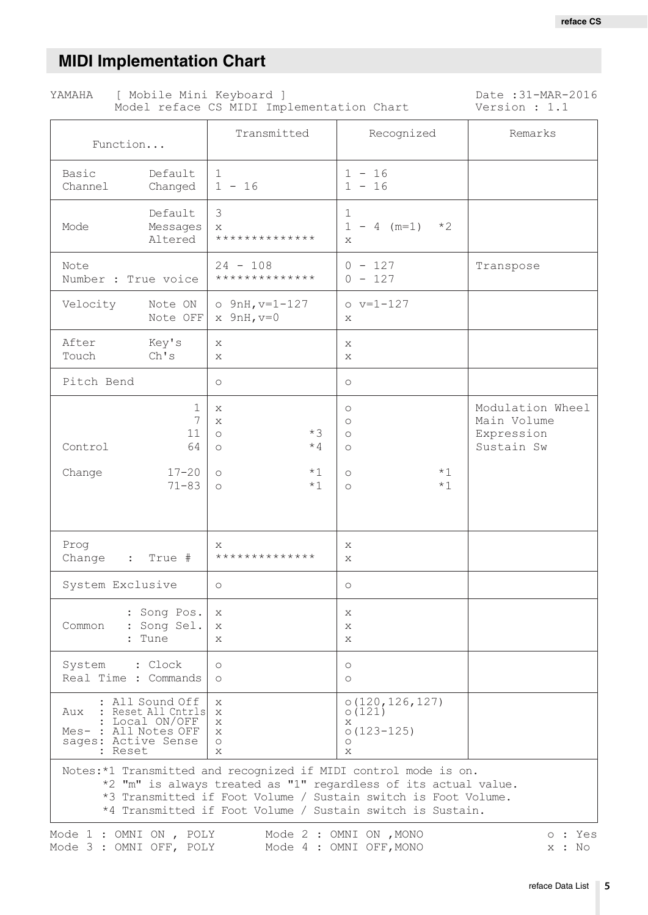Date : 31-MAR-2016

# <span id="page-4-0"></span>**MIDI Implementation Chart**

YAMAHA

[ Mobile Mini Keyboard ]

|                                                                                                                                                                                                                                                                    |                                                     | Model reface CS MIDI Implementation Chart                                          |                                                                                | Version : 1.1                                               |  |  |  |
|--------------------------------------------------------------------------------------------------------------------------------------------------------------------------------------------------------------------------------------------------------------------|-----------------------------------------------------|------------------------------------------------------------------------------------|--------------------------------------------------------------------------------|-------------------------------------------------------------|--|--|--|
| Function                                                                                                                                                                                                                                                           |                                                     | Transmitted                                                                        | Recognized                                                                     | Remarks                                                     |  |  |  |
| Basic<br>Channel                                                                                                                                                                                                                                                   | Default<br>Changed                                  | $\mathbf{1}$<br>$1 - 16$                                                           | $1 - 16$<br>$1 - 16$                                                           |                                                             |  |  |  |
| Mode                                                                                                                                                                                                                                                               | Default<br>Messages<br>Altered                      | 3<br>X<br>**************                                                           | $\mathbf 1$<br>$1 - 4$ (m=1)<br>$*2$<br>X                                      |                                                             |  |  |  |
| Note<br>Number : True voice                                                                                                                                                                                                                                        |                                                     | $24 - 108$<br>**************                                                       | $0 - 127$<br>$0 - 127$                                                         | Transpose                                                   |  |  |  |
| Velocity                                                                                                                                                                                                                                                           | Note ON<br>Note OFF                                 | $\circ$ 9nH, v=1-127<br>$x$ 9nH, $v=0$                                             | $o v=1-127$<br>X                                                               |                                                             |  |  |  |
| After<br>Touch                                                                                                                                                                                                                                                     | Key's<br>Ch's                                       | X<br>Х                                                                             | X<br>Х                                                                         |                                                             |  |  |  |
| Pitch Bend                                                                                                                                                                                                                                                         |                                                     | $\circlearrowright$                                                                | $\circlearrowright$                                                            |                                                             |  |  |  |
| Control<br>Change                                                                                                                                                                                                                                                  | 1<br>7<br>11<br>64<br>$17 - 20$<br>$71 - 83$        | X<br>X<br>$*3$<br>$\circ$<br>$*4$<br>$\circ$<br>$*1$<br>$\circ$<br>$*1$<br>$\circ$ | $\circ$<br>$\circ$<br>$\circ$<br>$\circ$<br>$*1$<br>$\circ$<br>$*1$<br>$\circ$ | Modulation Wheel<br>Main Volume<br>Expression<br>Sustain Sw |  |  |  |
| Prog<br>Change :                                                                                                                                                                                                                                                   | True #                                              | X<br>**************                                                                | X<br>X                                                                         |                                                             |  |  |  |
| System Exclusive                                                                                                                                                                                                                                                   |                                                     | $\circlearrowright$                                                                | $\circlearrowright$                                                            |                                                             |  |  |  |
| Common                                                                                                                                                                                                                                                             | : Song Pos.<br>: Song Sel.<br>: Tune                | X<br>X<br>X                                                                        | X<br>$\mathsf{X}$<br>X                                                         |                                                             |  |  |  |
| System : Clock<br>Real Time : Commands                                                                                                                                                                                                                             |                                                     | $\circ$<br>$\circ$                                                                 | $\circ$<br>$\circ$                                                             |                                                             |  |  |  |
| Aux<br>Mes- : All Notes OFF<br>sages: Active Sense<br>: Reset                                                                                                                                                                                                      | : All Sound Off<br>Reset All Cntrls<br>Local ON/OFF | X<br>X<br>X<br>X<br>$\circ$<br>X                                                   | 0(120, 126, 127)<br>0(121)<br>X<br>$0(123 - 125)$<br>$\circ$<br>X              |                                                             |  |  |  |
| Notes:*1 Transmitted and recognized if MIDI control mode is on.<br>*2 "m" is always treated as "1" regardless of its actual value.<br>*3 Transmitted if Foot Volume / Sustain switch is Foot Volume.<br>*4 Transmitted if Foot Volume / Sustain switch is Sustain. |                                                     |                                                                                    |                                                                                |                                                             |  |  |  |

|  |  | Mode 1 : OMNI ON , POLY |  |  | Mode 2 : OMNI ON , MONO |  | o : Yes |
|--|--|-------------------------|--|--|-------------------------|--|---------|
|  |  | Mode 3 : OMNI OFF, POLY |  |  | Mode 4 : OMNI OFF, MONO |  | x : No  |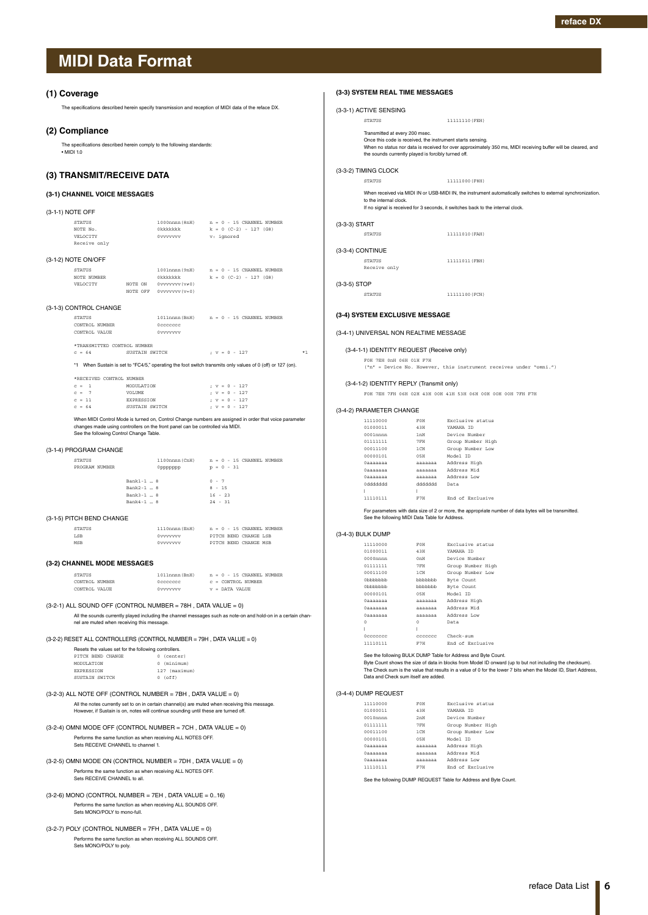#### <span id="page-5-1"></span><span id="page-5-0"></span>**(1) Coverage**

The specifications described herein specify transmission and reception of MIDI data of the reface DX.

#### **(2) Compliance**

The specifications described herein comply to the following standards: • MIDI 1.0

### **(3) TRANSMIT/RECEIVE DATA**

### **(3-1) CHANNEL VOICE MESSAGES**

| (3-1-1) NOTE OFF                                      |         |                                                               |                                                                                           |  |  |  |  |  |
|-------------------------------------------------------|---------|---------------------------------------------------------------|-------------------------------------------------------------------------------------------|--|--|--|--|--|
| <b>STATUS</b><br>NOTE No.<br>VELOCTTY<br>Receive only |         | Okkkkkk<br>0vvvvvvv                                           | $1000$ nnnn $(8nH)$ $n = 0 - 15$ CHANNEL NUMBER<br>$k = 0$ (C-2) - 127 (G8)<br>v: ignored |  |  |  |  |  |
| (3-1-2) NOTE ON/OFF                                   |         |                                                               |                                                                                           |  |  |  |  |  |
| <b>STATUS</b><br>NOTE NUMBER<br>VELOCITY              | NOTE ON | Okkkkkkk<br>$0$ vvvvvv $(v \neq 0)$<br>NOTE OFF 0vvvvvvv(v=0) | $1001$ nnnn $(9nH)$ $n = 0 - 15$ CHANNEL NUMBER<br>$k = 0$ (C-2) - 127 (G8)               |  |  |  |  |  |
| (3-1-3) CONTROL CHANGE                                |         |                                                               |                                                                                           |  |  |  |  |  |

| <b>STATUS</b>               | 1011nnnn (BnH) |  |  | $n = 0 - 15$ CHANNEL NUMBER |  |
|-----------------------------|----------------|--|--|-----------------------------|--|
| CONTROL NUMBER              | Occoccoc       |  |  |                             |  |
| CONTROL VALUE               | Ovvvvvvv       |  |  |                             |  |
|                             |                |  |  |                             |  |
| *TRANSMITTED CONTROL NUMBER |                |  |  |                             |  |
| SUSTAIN SWITCH<br>$= 64$    |                |  |  | $: v = 0 - 127$             |  |

\*1 When Sustain is set to "FC4/5," operating the foot switch transmits only values of 0 (off) or 127 (on).

c = 64 SUSTAIN SWITCH ; v = 0 - 127 \*1

| *RECEIVED CONTROL NUMBER |  |          |                   |  |  |  |  |  |                 |
|--------------------------|--|----------|-------------------|--|--|--|--|--|-----------------|
|                          |  | $c = 1$  | MODIJI.ATTON      |  |  |  |  |  | $: v = 0 - 127$ |
|                          |  | $c = 7$  | <b>VOLUME</b>     |  |  |  |  |  | $; v = 0 - 127$ |
|                          |  | $c = 11$ | <b>EXPRESSION</b> |  |  |  |  |  | $: v = 0 - 127$ |
|                          |  | $c = 64$ | SUSTAIN SWITCH    |  |  |  |  |  | $; v = 0 - 127$ |

When MIDI Control Mode is turned on, Control Change numbers are assigned in order that voice parameter changes made using controllers on the front panel can be controlled via MIDI. See the following Control Change Table.

#### (3-1-4) PROGRAM CHANGE

| <b>STATUS</b>  | 1100nnnn (CnH)         | $n = 0 - 15$ CHANNEL NUMBER |
|----------------|------------------------|-----------------------------|
| PROGRAM NUMBER | Oppppppp               | $p = 0 - 31$                |
|                | Bank1-1  8             | $0 - 7$                     |
|                | $Rank2-1$ $\ldots$ $R$ | $8 - 15$                    |
|                | Bank3-1  8             | $16 - 23$                   |
|                | Bank4-1  8             | $24 - 31$                   |
|                |                        |                             |

#### (3-1-5) PITCH BEND CHANGE

| <b>STATUS</b> | 1110nnnn (EnH) | $n = 0 - 15$ CHANNEL NUMBER |
|---------------|----------------|-----------------------------|
| <b>LSB</b>    | Ovvvvvvv       | PITCH REND CHANGE LSB       |
| MSR           | Ovvvvvvv       | PITCH BEND CHANGE MSB       |

#### **(3-2) CHANNEL MODE MESSAGES**

| STATUS         | 1011nnnn (BnH) |  | $n = 0 - 15$ CHANNEL NUMBER   |
|----------------|----------------|--|-------------------------------|
| CONTROL NUMBER | Occoccoc       |  | $C = \text{CONTROI}$ , NIMBER |
| CONTROL VALUE  | Ovvvvvvv       |  | $v =$ DATA VALUE              |

#### $(3-2-1)$  ALL SOUND OFF (CONTROL NUMBER = 78H, DATA VALUE = 0)

All the sounds currently played including the channel messages such as note-on and hold-on in a certain chan-nel are muted when receiving this message.

 $(3-2-2)$  RESET ALL CONTROLLERS (CONTROL NUMBER = 79H, DATA VALUE = 0)

| Resets the values set for the following controllers. |               |  |  |  |  |  |  |  |  |
|------------------------------------------------------|---------------|--|--|--|--|--|--|--|--|
| PITCH BEND CHANGE                                    | 0 (center)    |  |  |  |  |  |  |  |  |
| MODIJI ATTON                                         | 0 (minimum)   |  |  |  |  |  |  |  |  |
| <b>EXPRESSION</b>                                    | 127 (maximum) |  |  |  |  |  |  |  |  |
| SUSTAIN SWITCH                                       | $0$ (off)     |  |  |  |  |  |  |  |  |

### (3-2-3) ALL NOTE OFF (CONTROL NUMBER = 7BH , DATA VALUE = 0) All the notes currently set to on in certain channel(s) are muted when receiving this message. However, if Sustain is on, notes will continue sounding until these are turned off.

- (3-2-4) OMNI MODE OFF (CONTROL NUMBER = 7CH , DATA VALUE = 0) Performs the same function as when receiving ALL NOTES OFF. Sets RECEIVE CHANNEL to channel 1.
- (3-2-5) OMNI MODE ON (CONTROL NUMBER = 7DH , DATA VALUE = 0) Performs the same function as when receiving ALL NOTES OFF. Sets RECEIVE CHANNEL to all.
- $(3-2-6)$  MONO (CONTROL NUMBER = 7EH, DATA VALUE =  $0..16$ ) Performs the same function as when receiving ALL SOUNDS OFF. Sets MONO/POLY to mono-full.
- $(3-2-7)$  POLY (CONTROL NUMBER = 7FH, DATA VALUE = 0) Performs the same function as when receiving ALL SOUNDS OFF. Sets MONO/POLY to poly.

|                         | (3-3-1) ACTIVE SENSING                                                                                                                              |                            |                                                                                                                                                                                                                                                                                             |
|-------------------------|-----------------------------------------------------------------------------------------------------------------------------------------------------|----------------------------|---------------------------------------------------------------------------------------------------------------------------------------------------------------------------------------------------------------------------------------------------------------------------------------------|
|                         | STATUS                                                                                                                                              |                            | 11111110 (FEH)                                                                                                                                                                                                                                                                              |
|                         | Transmitted at every 200 msec.<br>Once this code is received, the instrument starts sensing.<br>the sounds currently played is forcibly turned off. |                            | When no status nor data is received for over approximately 350 ms, MIDI receiving buffer will be cleared, and                                                                                                                                                                               |
|                         | (3-3-2) TIMING CLOCK                                                                                                                                |                            |                                                                                                                                                                                                                                                                                             |
|                         | <b>STATUS</b>                                                                                                                                       |                            | 11111000 (F8H)                                                                                                                                                                                                                                                                              |
|                         | to the internal clock.                                                                                                                              |                            | When received via MIDI IN or USB-MIDI IN, the instrument automatically switches to external synchronization.<br>If no signal is received for 3 seconds, it switches back to the internal clock.                                                                                             |
| (3-3-3) START           |                                                                                                                                                     |                            |                                                                                                                                                                                                                                                                                             |
|                         | <b>STATUS</b>                                                                                                                                       |                            | 11111010 (FAH)                                                                                                                                                                                                                                                                              |
| (3-3-4) CONTINUE        |                                                                                                                                                     |                            |                                                                                                                                                                                                                                                                                             |
|                         | <b>STATUS</b><br>Receive only                                                                                                                       |                            | 11111011 (FBH)                                                                                                                                                                                                                                                                              |
| (3-3-5) STOP            |                                                                                                                                                     |                            |                                                                                                                                                                                                                                                                                             |
|                         | <b>STATUS</b>                                                                                                                                       |                            | 11111100 (FCH)                                                                                                                                                                                                                                                                              |
|                         | (3-4) SYSTEM EXCLUSIVE MESSAGE                                                                                                                      |                            |                                                                                                                                                                                                                                                                                             |
|                         | (3-4-1) UNIVERSAL NON REALTIME MESSAGE                                                                                                              |                            |                                                                                                                                                                                                                                                                                             |
|                         | (3-4-1-1) IDENTITY REQUEST (Receive only)                                                                                                           |                            |                                                                                                                                                                                                                                                                                             |
|                         | FOH 7EH OnH O6H O1H F7H                                                                                                                             |                            | ("n" = Device No. However, this instrument receives under "omni.")                                                                                                                                                                                                                          |
|                         | (3-4-1-2) IDENTITY REPLY (Transmit only)                                                                                                            |                            |                                                                                                                                                                                                                                                                                             |
|                         |                                                                                                                                                     |                            | FOH 7EH 7FH 06H 02H 43H 00H 41H 53H 06H 00H 00H 00H 7FH F7H                                                                                                                                                                                                                                 |
|                         | (3-4-2) PARAMETER CHANGE                                                                                                                            |                            |                                                                                                                                                                                                                                                                                             |
|                         | 11110000                                                                                                                                            | FOH                        | Exclusive status                                                                                                                                                                                                                                                                            |
|                         | 01000011<br>$0001$ nnnn                                                                                                                             | 43H<br>1nH                 | YAMAHA ID<br>Device Number                                                                                                                                                                                                                                                                  |
|                         | 01111111                                                                                                                                            | 7FH                        | Group Number High                                                                                                                                                                                                                                                                           |
|                         | 00011100                                                                                                                                            | 1 CH                       | Group Number Low                                                                                                                                                                                                                                                                            |
|                         | 00000101                                                                                                                                            | 05H                        | Model ID                                                                                                                                                                                                                                                                                    |
|                         | $0$ aaaaaaa                                                                                                                                         |                            | aaaaaaa Address High                                                                                                                                                                                                                                                                        |
|                         | Oaaaaaaa                                                                                                                                            | aaaaaaa                    | Address Mid                                                                                                                                                                                                                                                                                 |
|                         | Oaaaaaaa                                                                                                                                            | aaaaaaa                    | Address Low                                                                                                                                                                                                                                                                                 |
|                         | 0ddddddd                                                                                                                                            | bbbbbbb                    | Data                                                                                                                                                                                                                                                                                        |
| $\mathbf{L}$            | 11110111                                                                                                                                            | H.<br>F7H                  | End of Exclusive                                                                                                                                                                                                                                                                            |
|                         |                                                                                                                                                     |                            | For parameters with data size of 2 or more, the appropriate number of data bytes will be transmitted.                                                                                                                                                                                       |
|                         | See the following MIDI Data Table for Address.                                                                                                      |                            |                                                                                                                                                                                                                                                                                             |
| (3-4-3) BULK DUMP       | 11110000                                                                                                                                            | FOH                        | Exclusive status                                                                                                                                                                                                                                                                            |
|                         | 01000011                                                                                                                                            | 43H                        | YAMAHA ID                                                                                                                                                                                                                                                                                   |
|                         | 0000nnnn                                                                                                                                            | 0nH                        | Device Number                                                                                                                                                                                                                                                                               |
|                         | 01111111                                                                                                                                            | 7FH                        | Group Number High                                                                                                                                                                                                                                                                           |
|                         | 00011100                                                                                                                                            | 1 CH                       | Group Number Low                                                                                                                                                                                                                                                                            |
|                         | 0bbbbbbb                                                                                                                                            | bbbbbbb                    | Byte Count                                                                                                                                                                                                                                                                                  |
|                         | 0bbbbbb                                                                                                                                             | bbbbbbb                    | Byte Count                                                                                                                                                                                                                                                                                  |
|                         | 00000101                                                                                                                                            | 05H                        | Model ID                                                                                                                                                                                                                                                                                    |
|                         | <b>Oaaaaaaa</b>                                                                                                                                     |                            | aaaaaaa Address High                                                                                                                                                                                                                                                                        |
|                         | Oaaaaaaa                                                                                                                                            |                            | aaaaaaa Address Mid                                                                                                                                                                                                                                                                         |
|                         | Oaaaaaaa                                                                                                                                            |                            | aaaaaaa Address Low<br>Data                                                                                                                                                                                                                                                                 |
| $\circ$<br>$\mathbf{I}$ |                                                                                                                                                     | $^{\circ}$<br>$\mathbb{L}$ |                                                                                                                                                                                                                                                                                             |
|                         | Occccccc                                                                                                                                            |                            | ccccccc Check-sum                                                                                                                                                                                                                                                                           |
|                         | 11110111                                                                                                                                            | F7H                        | End of Exclusive                                                                                                                                                                                                                                                                            |
|                         | Data and Check sum itself are added.                                                                                                                |                            | See the following BULK DUMP Table for Address and Byte Count.<br>Byte Count shows the size of data in blocks from Model ID onward (up to but not including the checksum).<br>The Check sum is the value that results in a value of 0 for the lower 7 bits when the Model ID, Start Address, |
|                         | (3-4-4) DUMP REQUEST                                                                                                                                |                            |                                                                                                                                                                                                                                                                                             |
|                         | 11110000                                                                                                                                            | FOH                        | Exclusive status                                                                                                                                                                                                                                                                            |
|                         | 01000011                                                                                                                                            | 43H                        | YAMAHA ID                                                                                                                                                                                                                                                                                   |
|                         | $0010$ nnnn                                                                                                                                         | 2nH                        | Device Number                                                                                                                                                                                                                                                                               |
|                         | 01111111                                                                                                                                            | $7$ FH                     | Group Number High                                                                                                                                                                                                                                                                           |
|                         | 00011100                                                                                                                                            | 1 CH                       | Group Number Low                                                                                                                                                                                                                                                                            |
|                         | 00000101                                                                                                                                            | 05H                        | Model ID                                                                                                                                                                                                                                                                                    |
|                         | Oaaaaaaa                                                                                                                                            |                            | aaaaaaa Address High                                                                                                                                                                                                                                                                        |
|                         | Oaaaaaaa                                                                                                                                            |                            | aaaaaaa Address Mid                                                                                                                                                                                                                                                                         |

0aaaaaaa aaaaaaa Address Low 11110111 F7H End of Exclusive See the following DUMP REQUEST Table for Address and Byte Count.

**(3-3) SYSTEM REAL TIME MESSAGES**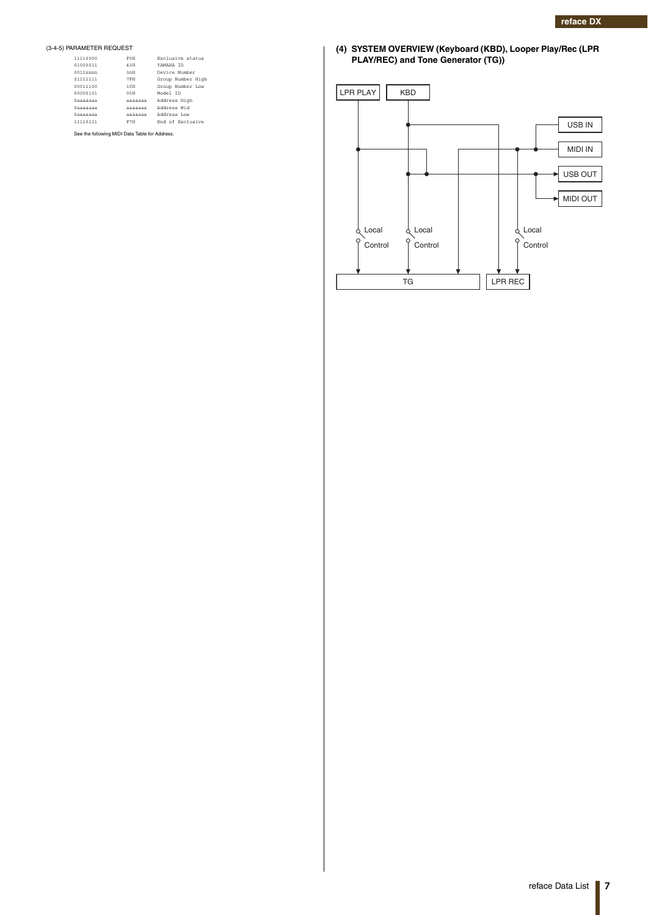### (3-4-5) PARAMETER REQUEST

| 11110000    | FOH     | Exclusive status  |
|-------------|---------|-------------------|
| 01000011    | 43H     | YAMAHA TD         |
| $0011$ nnnn | 3mH     | Device Number     |
| 01111111    | 7FH     | Group Number High |
| 00011100    | $1$ CH  | Group Number Low  |
| 00000101    | 0.5H    | Model ID          |
| 0aaaaaaa    | aaaaaaa | Address High      |
| 0aaaaaaa    | aaaaaaa | Address Mid       |
| 0aaaaaaa    | aaaaaaa | Address Low       |
| 11110111    | F7H     | End of Exclusive  |

**(4) SYSTEM OVERVIEW (Keyboard (KBD), Looper Play/Rec (LPR PLAY/REC) and Tone Generator (TG))**

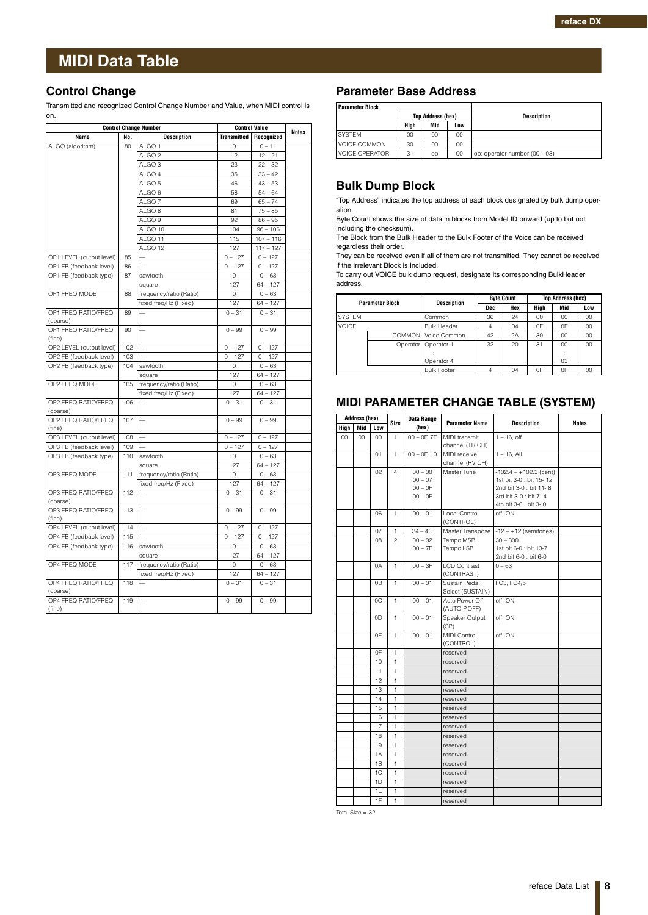### <span id="page-7-0"></span>**Control Change**

Transmitted and recognized Control Change Number and Value, when MIDI control is on.

|                                 |     | <b>Control Change Number</b> |                    | <b>Control Value</b> |              |  |
|---------------------------------|-----|------------------------------|--------------------|----------------------|--------------|--|
| Name                            | No. | <b>Description</b>           | <b>Transmitted</b> | Recognized           | <b>Notes</b> |  |
| ALGO (algorithm)                | 80  | ALGO <sub>1</sub>            | 0                  | $0 - 11$             |              |  |
|                                 |     | ALGO <sub>2</sub>            | 12                 | $12 - 21$            |              |  |
|                                 |     | ALGO <sub>3</sub>            | 23                 | $22 - 32$            |              |  |
|                                 |     | ALGO 4                       | 35                 | $33 - 42$            |              |  |
|                                 |     | ALGO <sub>5</sub>            | 46                 | $43 - 53$            |              |  |
|                                 |     | ALGO <sub>6</sub>            | 58                 | $54 - 64$            |              |  |
|                                 |     | ALGO <sub>7</sub>            | 69                 | $65 - 74$            |              |  |
|                                 |     | ALGO <sub>8</sub>            | 81                 | $75 - 85$            |              |  |
|                                 |     | ALGO <sub>9</sub>            | 92                 | $86 - 95$            |              |  |
|                                 |     | ALGO 10                      | 104                | $96 - 106$           |              |  |
|                                 |     | ALGO 11                      | 115                | $107 - 116$          |              |  |
|                                 |     | ALGO 12                      | 127                | $117 - 127$          |              |  |
| OP1 LEVEL (output level)        | 85  |                              | $0 - 127$          | $0 - 127$            |              |  |
|                                 | 86  |                              | $0 - 127$          | $0 - 127$            |              |  |
| OP1 FB (feedback level)         |     |                              |                    |                      |              |  |
| OP1 FB (feedback type)          | 87  | sawtooth                     | $\mathbf 0$        | $0 - 63$             |              |  |
|                                 |     | square                       | 127                | $64 - 127$           |              |  |
| OP1 FREQ MODE                   | 88  | frequency/ratio (Ratio)      | 0                  | $0 - 63$             |              |  |
|                                 |     | fixed freq/Hz (Fixed)        | 127                | $64 - 127$           |              |  |
| OP1 FREQ RATIO/FREQ<br>(coarse) | 89  |                              | $0 - 31$           | $0 - 31$             |              |  |
| OP1 FREQ RATIO/FREQ             | 90  | $\equiv$                     | $0 - 99$           | $0 - 99$             |              |  |
| (fine)                          |     |                              |                    |                      |              |  |
| OP2 LEVEL (output level)        | 102 |                              | $0 - 127$          | $0 - 127$            |              |  |
| OP2 FB (feedback level)         | 103 |                              | $0 - 127$          | $0 - 127$            |              |  |
| OP2 FB (feedback type)          | 104 | sawtooth                     | 0                  | $0 - 63$             |              |  |
|                                 |     | square                       | 127                | $64 - 127$           |              |  |
| OP2 FREQ MODE                   | 105 | frequency/ratio (Ratio)      | 0                  | $0 - 63$             |              |  |
|                                 |     | fixed freq/Hz (Fixed)        | 127                | $64 - 127$           |              |  |
| OP2 FREQ RATIO/FREQ             | 106 |                              | $0 - 31$           | $0 - 31$             |              |  |
| (coarse)                        |     |                              |                    |                      |              |  |
| OP2 FREQ RATIO/FREQ<br>(fine)   | 107 |                              | $0 - 99$           | $0 - 99$             |              |  |
| OP3 LEVEL (output level)        | 108 |                              | $0 - 127$          | $0 - 127$            |              |  |
| OP3 FB (feedback level)         | 109 |                              | $0 - 127$          | $0 - 127$            |              |  |
| OP3 FB (feedback type)          | 110 | sawtooth                     | $\circ$            | $0 - 63$             |              |  |
|                                 |     | square                       | 127                | $64 - 127$           |              |  |
| OP3 FREQ MODE                   | 111 | frequency/ratio (Ratio)      | $\circ$            | $0 - 63$             |              |  |
|                                 |     | fixed freq/Hz (Fixed)        | 127                | $64 - 127$           |              |  |
| OP3 FREQ RATIO/FREQ             | 112 |                              | $0 - 31$           | $0 - 31$             |              |  |
| (coarse)                        |     |                              |                    |                      |              |  |
| OP3 FREQ RATIO/FREQ             | 113 | $\overline{\phantom{0}}$     | $0 - 99$           | $0 - 99$             |              |  |
| (fine)                          |     |                              |                    |                      |              |  |
| OP4 LEVEL (output level)        | 114 |                              | $0 - 127$          | $0 - 127$            |              |  |
| OP4 FB (feedback level)         | 115 |                              | $0 - 127$          | $0 - 127$            |              |  |
| OP4 FB (feedback type)          | 116 | sawtooth                     | 0                  | $0 - 63$             |              |  |
|                                 |     | square                       | 127                | $64 - 127$           |              |  |
| OP4 FREQ MODE                   | 117 | frequency/ratio (Ratio)      | 0                  | $0 - 63$             |              |  |
|                                 |     | fixed freq/Hz (Fixed)        | 127                | $64 - 127$           |              |  |
| OP4 FREQ RATIO/FREQ             | 118 |                              | $0 - 31$           | $0 - 31$             |              |  |
| (coarse)                        |     |                              |                    |                      |              |  |
| OP4 FREQ RATIO/FREQ             | 119 |                              | $0 - 99$           | $0 - 99$             |              |  |
| (fine)                          |     |                              |                    |                      |              |  |

## **Parameter Base Address**

| <b>Parameter Block</b> |                          |     |     |                               |
|------------------------|--------------------------|-----|-----|-------------------------------|
|                        | <b>Top Address (hex)</b> |     |     | <b>Description</b>            |
|                        | Hiah                     | Mid | Low |                               |
| <b>SYSTEM</b>          | 00                       | 00  | 00  |                               |
| <b>VOICE COMMON</b>    | 30                       | 00  | 00  |                               |
| <b>VOICE OPERATOR</b>  | 31                       | op  | 00  | op: operator number (00 - 03) |

## **Bulk Dump Block**

"Top Address" indicates the top address of each block designated by bulk dump operation.

Byte Count shows the size of data in blocks from Model ID onward (up to but not including the checksum).

The Block from the Bulk Header to the Bulk Footer of the Voice can be received regardless their order.

They can be received even if all of them are not transmitted. They cannot be received if the irrelevant Block is included.

To carry out VOICE bulk dump request, designate its corresponding BulkHeader address.

|               | <b>Parameter Block</b> | Description         | <b>Byte Count</b> |     | <b>Top Address (hex)</b> |     |     |
|---------------|------------------------|---------------------|-------------------|-----|--------------------------|-----|-----|
|               |                        |                     | Dec               | Hex | High                     | Mid | Low |
| <b>SYSTEM</b> |                        | Common              | 36                | 24  | 00                       | 00  | 00  |
| <b>VOICE</b>  |                        | <b>Bulk Header</b>  | 4                 | 04  | 0E                       | 0F  | 00  |
|               |                        | COMMON Voice Common | 42                | 2A  | 30                       | 00  | 00  |
|               | Operator               | Operator 1          | 32                | 20  | 31                       | CO  | 00  |
|               |                        |                     |                   |     |                          |     |     |
|               |                        | Operator 4          |                   |     |                          | 03  |     |
|               |                        | <b>Bulk Footer</b>  | 4                 | 04  | 0F                       | 0F  | 00  |

## **MIDI PARAMETER CHANGE TABLE (SYSTEM)**

|      | Address (hex) |        | Size           | Data Range     |                                   |                          | <b>Notes</b> |
|------|---------------|--------|----------------|----------------|-----------------------------------|--------------------------|--------------|
| High | Mid           | Low    |                | (hex)          | <b>Parameter Name</b>             | <b>Description</b>       |              |
| 00   | $00\,$        | $00\,$ | $\mathbf{1}$   | $00 - 0F. 7F$  | MIDI transmit                     | $1 - 16$ , off           |              |
|      |               |        |                |                | channel (TR CH)                   |                          |              |
|      |               | 01     | $\mathbf{1}$   | $00 - 0F$ , 10 | MIDI receive                      | $1 - 16$ . All           |              |
|      |               |        |                |                | channel (RV CH)                   |                          |              |
|      |               | 02     | $\overline{4}$ | $00 - 00$      | Master Tune                       | $-102.4 - +102.3$ (cent) |              |
|      |               |        |                | $00 - 07$      |                                   | 1st bit 3-0 : bit 15-12  |              |
|      |               |        |                | $00 - 0F$      |                                   | 2nd bit 3-0 : bit 11-8   |              |
|      |               |        |                | $00 - 0F$      |                                   | 3rd bit 3-0 : bit 7-4    |              |
|      |               | 06     | 1              |                | Local Control                     | 4th bit 3-0 : bit 3-0    |              |
|      |               |        |                | $00 - 01$      | (CONTROL)                         | off, ON                  |              |
|      |               | 07     | $\mathbf{1}$   | $34 - 4C$      | Master Transpose                  | $-12 - +12$ (semitones)  |              |
|      |               | 08     | $\overline{a}$ | $00 - 02$      | Tempo MSB                         | $30 - 300$               |              |
|      |               |        |                | $00 - 7F$      | Tempo LSB                         | 1st bit 6-0 : bit 13-7   |              |
|      |               |        |                |                |                                   | 2nd bit 6-0 : bit 6-0    |              |
|      |               | 0A     | $\mathbf{1}$   | $00 - 3F$      | <b>LCD Contrast</b><br>(CONTRAST) | $0 - 63$                 |              |
|      |               | 0B     | $\mathbf{1}$   | $00 - 01$      | Sustain Pedal                     | FC3, FC4/5               |              |
|      |               |        |                |                | Select (SUSTAIN)                  |                          |              |
|      |               | 0C     | $\mathbf{1}$   | $00 - 01$      | Auto Power-Off<br>(AUTO P.OFF)    | off. ON                  |              |
|      |               | 0D     | $\mathbf{1}$   | $00 - 01$      | Speaker Output<br>(SP)            | off, ON                  |              |
|      |               | 0E     | $\mathbf{1}$   | $00 - 01$      | MIDI Control<br>(CONTROL)         | off, ON                  |              |
|      |               | 0F     | $\mathbf{1}$   |                | reserved                          |                          |              |
|      |               | 10     | $\mathbf{1}$   |                | reserved                          |                          |              |
|      |               | 11     | 1              |                | reserved                          |                          |              |
|      |               | 12     | 1              |                | reserved                          |                          |              |
|      |               | 13     | $\mathbf{1}$   |                | reserved                          |                          |              |
|      |               | 14     | $\mathbf{1}$   |                | reserved                          |                          |              |
|      |               | 15     | $\mathbf{1}$   |                | reserved                          |                          |              |
|      |               | 16     | 1              |                | reserved                          |                          |              |
|      |               | 17     | 1              |                | reserved                          |                          |              |
|      |               | 18     | $\mathbf{1}$   |                | reserved                          |                          |              |
|      |               | 19     | $\mathbf{1}$   |                | reserved                          |                          |              |
|      |               | 1A     | 1              |                | reserved                          |                          |              |
|      |               | 1B     | $\mathbf{1}$   |                | reserved                          |                          |              |
|      |               | 1C     | $\mathbf{1}$   |                | reserved                          |                          |              |
|      |               | 1D     | $\mathbf{1}$   |                | reserved                          |                          |              |
|      |               | 1E     | 1              |                | reserved                          |                          |              |
|      |               | 1F     | $\mathbf{1}$   |                | reserved                          |                          |              |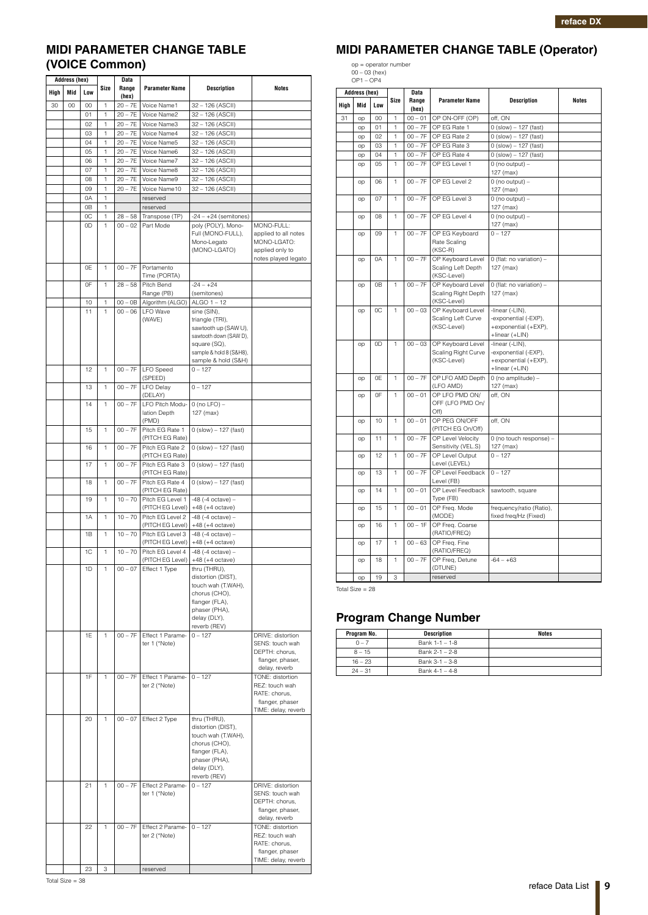## **MIDI PARAMETER CHANGE TABLE (VOICE Common)**

|      | <b>Address (hex)</b> | Data     |              |                        |                                          |                                                                                                                                                                   |                                                                                               |
|------|----------------------|----------|--------------|------------------------|------------------------------------------|-------------------------------------------------------------------------------------------------------------------------------------------------------------------|-----------------------------------------------------------------------------------------------|
| High | Mid                  | Low      | Size         | Range<br>(hex)         | <b>Parameter Name</b>                    | <b>Description</b>                                                                                                                                                | <b>Notes</b>                                                                                  |
| 30   | 00                   | 00       | 1            | $20 - 7E$              | Voice Name1                              | 32 - 126 (ASCII)                                                                                                                                                  |                                                                                               |
|      |                      | 01       | 1            | $20 - 7E$              | Voice Name2                              | 32 - 126 (ASCII)                                                                                                                                                  |                                                                                               |
|      |                      | 02<br>03 | 1<br>1       | $20 - 7E$<br>$20 - 7E$ | Voice Name3<br>Voice Name4               | 32 - 126 (ASCII)<br>32 - 126 (ASCII)                                                                                                                              |                                                                                               |
|      |                      | 04       | 1            | $20 - 7E$              | Voice Name5                              | 32 - 126 (ASCII)                                                                                                                                                  |                                                                                               |
|      |                      | 05       | 1            | $20 - 7E$              | Voice Name6                              | 32 - 126 (ASCII)                                                                                                                                                  |                                                                                               |
|      |                      | 06       | 1            | $20 - 7E$              | Voice Name7                              | 32 - 126 (ASCII)                                                                                                                                                  |                                                                                               |
|      |                      | 07       | 1            | $20 - 7E$              | Voice Name8                              | 32 - 126 (ASCII)                                                                                                                                                  |                                                                                               |
|      |                      | 08<br>09 | 1<br>1       | $20 - 7E$<br>$20 - 7E$ | Voice Name9<br>Voice Name10              | 32 - 126 (ASCII)<br>32 - 126 (ASCII)                                                                                                                              |                                                                                               |
|      |                      | 0A       | 1            |                        | reserved                                 |                                                                                                                                                                   |                                                                                               |
|      |                      | 0B       | 1            |                        | reserved                                 |                                                                                                                                                                   |                                                                                               |
|      |                      | 0C       | $\mathbf{1}$ | $28 - 58$              | Transpose (TP)                           | $-24 - +24$ (semitones)                                                                                                                                           |                                                                                               |
|      |                      | 0D       | 1            | $00 - 02$              | Part Mode                                | poly (POLY), Mono-                                                                                                                                                | MONO-FULL:                                                                                    |
|      |                      |          |              |                        |                                          | Full (MONO-FULL),<br>Mono-Legato<br>(MONO-LGATO)                                                                                                                  | applied to all notes<br>MONO-LGATO:<br>applied only to<br>notes played legato                 |
|      |                      | 0E       | $\mathbf{1}$ | $00 - 7F$              | Portamento                               |                                                                                                                                                                   |                                                                                               |
|      |                      |          |              |                        | Time (PORTA)                             |                                                                                                                                                                   |                                                                                               |
|      |                      | 0F       | 1            | $28 - 58$              | Pitch Bend                               | $-24 - +24$                                                                                                                                                       |                                                                                               |
|      |                      | 10       | 1            | $00 - 0B$              | Range (PB)<br>Algorithm (ALGO)           | (semitones)<br>ALGO 1 - 12                                                                                                                                        |                                                                                               |
|      |                      | 11       | 1            | $00 - 06$              | <b>LFO</b> Wave                          | sine (SIN),                                                                                                                                                       |                                                                                               |
|      |                      |          |              |                        | (WAVE)                                   | triangle (TRI),<br>sawtooth up (SAW U),<br>sawtooth down (SAW D),<br>square (SQ),<br>sample & hold 8 (S&H8),<br>sample & hold (S&H)                               |                                                                                               |
|      |                      | 12       | $\mathbf{1}$ | $00 - 7F$              | <b>LFO</b> Speed                         | $0 - 127$                                                                                                                                                         |                                                                                               |
|      |                      | 13       | $\mathbf{1}$ | $00 - 7F$              | (SPEED)<br><b>LFO Delay</b><br>(DELAY)   | $0 - 127$                                                                                                                                                         |                                                                                               |
|      |                      | 14       | 1            | $00 - 7F$              | LFO Pitch Modu-<br>lation Depth<br>(PMD) | $0$ (no LFO) $-$<br>127 (max)                                                                                                                                     |                                                                                               |
|      |                      | 15       | 1            | $00 - 7F$              | Pitch EG Rate 1<br>(PITCH EG Rate)       | $0$ (slow) $- 127$ (fast)                                                                                                                                         |                                                                                               |
|      |                      | 16       | 1            | $00 - 7F$              | Pitch EG Rate 2<br>(PITCH EG Rate)       | $0$ (slow) $-127$ (fast)                                                                                                                                          |                                                                                               |
|      |                      | 17       | 1            | $00 - 7F$              | Pitch EG Rate 3<br>(PITCH EG Rate)       | $0$ (slow) $- 127$ (fast)                                                                                                                                         |                                                                                               |
|      |                      | 18       | 1            | $00 - 7F$              | Pitch EG Rate 4<br>(PITCH EG Rate)       | $0$ (slow) $- 127$ (fast)                                                                                                                                         |                                                                                               |
|      |                      | 19       | 1            | $10 - 70$              | Pitch EG Level 1<br>(PITCH EG Level)     | $-48$ ( $-4$ octave) $-$<br>$+48 (+4 octave)$                                                                                                                     |                                                                                               |
|      |                      | 1A       | 1            | $10 - 70$              | Pitch EG Level 2<br>(PITCH EG Level)     | $-48$ ( $-4$ octave) $-$<br>$+48 (+4 octave)$                                                                                                                     |                                                                                               |
|      |                      | 1B       | 1            | $10 - 70$              | Pitch EG Level 3<br>(PITCH EG Level)     | $-48$ ( $-4$ octave) $-$<br>$+48 (+4 octave)$                                                                                                                     |                                                                                               |
|      |                      | 1C       | 1            | $10 - 70$              | Pitch EG Level 4                         | $-48$ ( $-4$ octave) $-$                                                                                                                                          |                                                                                               |
|      |                      | 1D       | 1.           | $00 - 07$              | (PITCH EG Level)<br>Effect 1 Type        | $+48 (+4 octave)$<br>thru (THRU),<br>distortion (DIST),<br>touch wah (T.WAH),<br>chorus (CHO),<br>flanger (FLA),<br>phaser (PHA),<br>delay (DLY),<br>reverb (REV) |                                                                                               |
|      |                      | 1E       | 1            | $00 - 7F$              | Effect 1 Parame-<br>ter 1 (*Note)        | $0 - 127$                                                                                                                                                         | DRIVE: distortion<br>SENS: touch wah<br>DEPTH: chorus,<br>flanger, phaser,<br>delay, reverb   |
|      |                      | 1F       | $\mathbf{1}$ | $00 - 7F$              | Effect 1 Parame-<br>ter 2 (*Note)        | $0 - 127$                                                                                                                                                         | TONE: distortion<br>REZ: touch wah<br>RATE: chorus,<br>flanger, phaser<br>TIME: delay, reverb |
|      |                      | 20       | $\mathbf{1}$ | $00 - 07$              | Effect 2 Type                            | thru (THRU),<br>distortion (DIST),<br>touch wah (T.WAH),<br>chorus (CHO),<br>flanger (FLA),<br>phaser (PHA),<br>delay (DLY),<br>reverb (REV)                      |                                                                                               |
|      |                      | 21       | 1            | $00 - 7F$              | Effect 2 Parame-<br>ter 1 (*Note)        | $0 - 127$                                                                                                                                                         | DRIVE: distortion<br>SENS: touch wah<br>DEPTH: chorus,<br>flanger, phaser,<br>delay, reverb   |
|      |                      | 22       | 1            | $00 - 7F$              | Effect 2 Parame-<br>ter 2 (*Note)        | $0 - 127$                                                                                                                                                         | TONE: distortion<br>REZ: touch wah<br>RATE: chorus,<br>flanger, phaser<br>TIME: delay, reverb |
|      |                      | 23       | 3            |                        | reserved                                 |                                                                                                                                                                   |                                                                                               |
|      |                      |          |              |                        |                                          |                                                                                                                                                                   |                                                                                               |

# **MIDI PARAMETER CHANGE TABLE (Operator)**

op = operator number 00 – 03 (hex) OP1 – OP4

|      | <b>Address (hex)</b><br>Mid<br>Low |                | <b>Data</b>  |                |                                                                                                  |                                                                                   |              |
|------|------------------------------------|----------------|--------------|----------------|--------------------------------------------------------------------------------------------------|-----------------------------------------------------------------------------------|--------------|
| Hiah |                                    |                | Size         | Range<br>(hex) | <b>Parameter Name</b>                                                                            | <b>Description</b>                                                                | <b>Notes</b> |
| 31   | op                                 | 00             | 1            | $00 - 01$      | OP ON-OFF (OP)                                                                                   | off, ON                                                                           |              |
|      | op                                 | 01             | 1            | $00 - 7F$      | OP EG Rate 1                                                                                     | $0$ (slow) $-127$ (fast)                                                          |              |
|      | op                                 | 02             | 1            | $00 - 7F$      | OP EG Rate 2                                                                                     | $0$ (slow) $- 127$ (fast)                                                         |              |
|      | op                                 | 03             | 1            | $00 - 7F$      | OP EG Rate 3                                                                                     | $0$ (slow) $- 127$ (fast)                                                         |              |
|      | op                                 | 04             | 1            | $00 - 7F$      | OP EG Rate 4                                                                                     | $0$ (slow) $-127$ (fast)                                                          |              |
|      | op                                 | 05             | 1            | $00 - 7F$      | OP EG Level 1                                                                                    | $0$ (no output) $-$<br>127 (max)                                                  |              |
|      | op                                 | 06             | 1            | $00 - 7F$      | OP EG Level 2                                                                                    | $0$ (no output) -<br>127 (max)                                                    |              |
|      | op                                 | 07             | $\mathbf{1}$ | $00 - 7F$      | OP EG Level 3                                                                                    | $0$ (no output) $-$<br>127 (max)                                                  |              |
|      | op                                 | 08             | $\mathbf{1}$ | $00 - 7F$      | OP EG Level 4                                                                                    | $0$ (no output) $-$<br>127 (max)                                                  |              |
|      | op                                 | 09             | 1            | $00 - 7F$      | OP EG Keyboard<br>Rate Scaling<br>(KSC-R)                                                        | $0 - 127$                                                                         |              |
|      | op                                 | 0A             | $\mathbf{1}$ | $00 - 7F$      | OP Keyboard Level<br>Scaling Left Depth<br>(KSC-Level)                                           | 0 (flat: no variation) -<br>127 (max)                                             |              |
|      | op                                 | 0 <sub>B</sub> | $\mathbf{1}$ | $00 - 7F$      | OP Keyboard Level<br>0 (flat: no variation) -<br>Scaling Right Depth<br>127 (max)<br>(KSC-Level) |                                                                                   |              |
|      | op                                 | 0C             | 1            | $00 - 03$      | OP Keyboard Level<br>Scaling Left Curve<br>(KSC-Level)                                           | -linear (-LIN),<br>-exponential (-EXP),<br>+exponential (+EXP),<br>+linear (+LIN) |              |
|      | op                                 | 0D             | 1            | $00 - 03$      | OP Keyboard Level<br>Scaling Right Curve<br>(KSC-Level)                                          | -linear (-LIN),<br>-exponential (-EXP),<br>+exponential (+EXP),<br>+linear (+LIN) |              |
|      | op                                 | 0E             | $\mathbf{1}$ | $00 - 7F$      | OP LFO AMD Depth<br>(LFO AMD)                                                                    | 0 (no amplitude) -<br>127 (max)                                                   |              |
|      | op                                 | 0F             | 1            | $00 - 01$      | OP LFO PMD ON/<br>OFF (LFO PMD On/<br>Off)                                                       | off, ON                                                                           |              |
|      | op                                 | 10             | $\mathbf{1}$ | $00 - 01$      | OP PEG ON/OFF<br>(PITCH EG On/Off)                                                               | off, ON                                                                           |              |
|      | op                                 | 11             | $\mathbf{1}$ | $00 - 7F$      | OP Level Velocity<br>Sensitivity (VEL.S)                                                         | 0 (no touch response) -<br>127 (max)                                              |              |
|      | op                                 | 12             | $\mathbf{1}$ | $00 - 7F$      | OP Level Output<br>Level (LEVEL)                                                                 | $0 - 127$                                                                         |              |
|      | op                                 | 13             | $\mathbf{1}$ | $00 - 7F$      | OP Level Feedback<br>Level (FB)                                                                  | $0 - 127$                                                                         |              |
|      | op                                 | 14             | 1            | $00 - 01$      | OP Level Feedback<br>Type (FB)                                                                   | sawtooth, square                                                                  |              |
|      | op                                 | 15             | $\mathbf{1}$ | $00 - 01$      | OP Freq. Mode<br>(MODE)                                                                          | frequency/ratio (Ratio),<br>fixed freq/Hz (Fixed)                                 |              |
|      | op                                 | 16             | 1            | $00 - 1F$      | OP Freq. Coarse<br>(RATIO/FREQ)                                                                  |                                                                                   |              |
|      | op                                 | 17             | 1            | $00 - 63$      | OP Freq. Fine<br>(RATIO/FREQ)                                                                    |                                                                                   |              |
|      | op                                 | 18             | $\mathbf{1}$ | $00 - 7F$      | OP Freq, Detune<br>(DTUNE)                                                                       | $-64 - +63$                                                                       |              |
|      | op                                 | 19             | 3            |                | reserved                                                                                         |                                                                                   |              |

Total Size = 28

# **Program Change Number**

| Program No. | Description      | <b>Notes</b> |
|-------------|------------------|--------------|
| $0 - 7$     | Bank 1-1 - 1-8   |              |
| $8 - 15$    | Bank 2-1 - 2-8   |              |
| $16 - 23$   | Bank $3-1-3-8$   |              |
| $24 - 31$   | Bank $4-1 - 4-8$ |              |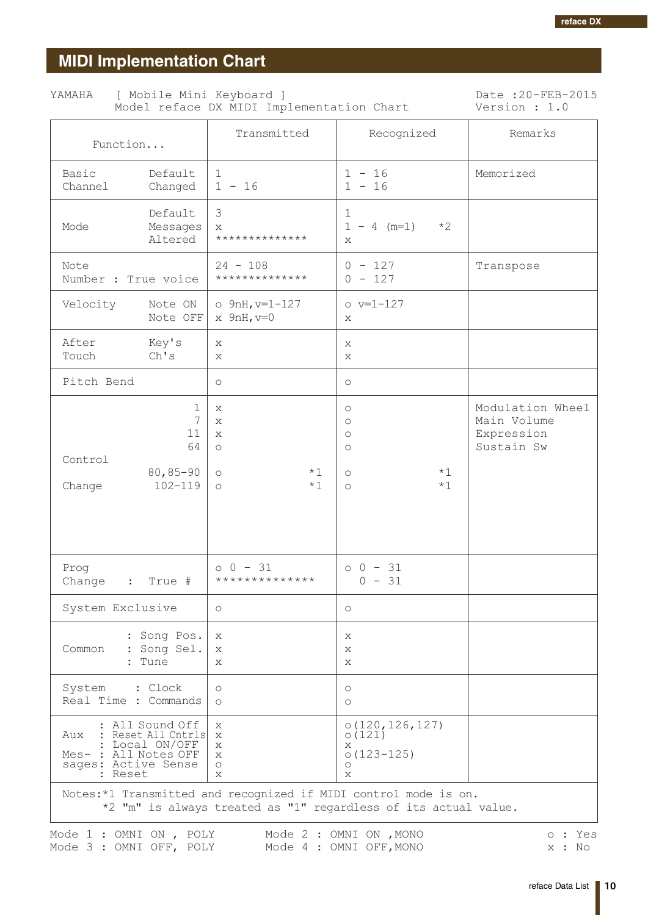# <span id="page-9-0"></span>**MIDI Implementation Chart**

| YAMAHA | [ Mobile Mini Keyboard ] | Model reface DX MIDI Implementation Chart | Date: 20-FEB-2015<br>Version : 1.0 |
|--------|--------------------------|-------------------------------------------|------------------------------------|
|        |                          |                                           |                                    |

| Function                                                                                                              | Transmitted                                                                | Recognized                                                                                                            | Remarks                                                     |
|-----------------------------------------------------------------------------------------------------------------------|----------------------------------------------------------------------------|-----------------------------------------------------------------------------------------------------------------------|-------------------------------------------------------------|
| Basic<br>Default<br>Channel<br>Changed                                                                                | 1<br>$1 - 16$                                                              | $1 - 16$<br>$1 - 16$                                                                                                  | Memorized                                                   |
| Default<br>Mode<br>Messages<br>Altered                                                                                | 3<br>X<br>**************                                                   | $\mathbf 1$<br>$1 - 4$ (m=1)<br>$*2$<br>X                                                                             |                                                             |
| Note<br>Number : True voice                                                                                           | $24 - 108$<br>**************                                               | $0 - 127$<br>$0 - 127$                                                                                                | Transpose                                                   |
| Velocity<br>Note ON<br>Note OFF                                                                                       | $o$ 9nH, $v=1-127$<br>$x$ 9nH, $v=0$                                       | $o v=1-127$<br>X                                                                                                      |                                                             |
| After<br>Key's<br>Touch<br>Ch's                                                                                       | Х<br>$\mathbf{x}$                                                          | X<br>X                                                                                                                |                                                             |
| Pitch Bend                                                                                                            | $\circlearrowright$                                                        | $\circlearrowright$                                                                                                   |                                                             |
| 1<br>7<br>11<br>64<br>Control<br>$80, 85 - 90$<br>$102 - 119$<br>Change                                               | X<br>X<br>$\mathbf{x}$<br>$\bigcirc$<br>$*1$<br>$\circ$<br>$*1$<br>$\circ$ | $\circlearrowright$<br>$\circlearrowright$<br>$\circlearrowright$<br>$\circ$<br>$*1$<br>$\circ$<br>$*1$<br>$\bigcirc$ | Modulation Wheel<br>Main Volume<br>Expression<br>Sustain Sw |
| Prog<br>Change<br>$\mathbf{L}$<br>True #                                                                              | $0 0 - 31$<br>**************                                               | $0 0 - 31$<br>$0 - 31$                                                                                                |                                                             |
| System Exclusive                                                                                                      | $\circ$                                                                    | $\circ$                                                                                                               |                                                             |
| : Song Pos.<br>Common<br>: Song Sel.<br>: Tune                                                                        | X<br>Х<br>X                                                                | Χ<br>X<br>X                                                                                                           |                                                             |
| System<br>: Clock<br>Real Time : Commands                                                                             | $\circ$<br>$\circ$                                                         | $\circlearrowright$<br>$\circ$                                                                                        |                                                             |
| All Sound Off<br>Aux<br>Reset All Cntrls<br>Local ON/OFF<br>Mes-<br>: All Notes OFF<br>sages: Active Sense<br>: Reset | X<br>X<br>X<br>Х<br>$\circ$<br>X                                           | 0(120, 126, 127)<br>0(121)<br>Х<br>$0(123 - 125)$<br>О<br>X                                                           |                                                             |
| Notes:*1 Transmitted and recognized if MIDI control mode is on.                                                       |                                                                            | *2 "m" is always treated as "1" regardless of its actual value.                                                       |                                                             |

Mode 1 : OMNI ON , POLY Mode 2 : OMNI ON , MONO<br>Mode 3 : OMNI OFF, POLY Mode 4 : OMNI OFF, MONO o : Yes x : No

reface Data List | 10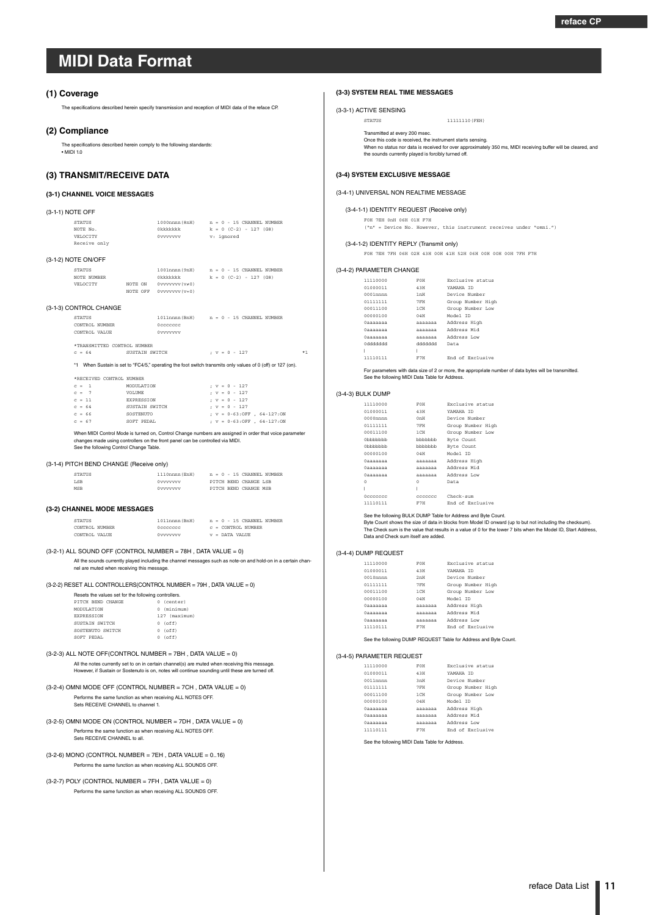#### <span id="page-10-1"></span><span id="page-10-0"></span>**(1) Coverage**

The specifications described herein specify transmission and reception of MIDI data of the reface CP.

#### **(2) Compliance**

The specifications described herein comply to the following standards:  $\cdot$  MIDI 10

### **(3) TRANSMIT/RECEIVE DATA**

#### **(3-1) CHANNEL VOICE MESSAGES**

| (3-1-1) NOTE OFF |                                                                                                               |                                                                                  |                                                                               |                                                                                                                                                                                                                                                                        |
|------------------|---------------------------------------------------------------------------------------------------------------|----------------------------------------------------------------------------------|-------------------------------------------------------------------------------|------------------------------------------------------------------------------------------------------------------------------------------------------------------------------------------------------------------------------------------------------------------------|
|                  | <b>STATUS</b><br>NOTE No.<br>VELOCTTY<br>Receive only                                                         |                                                                                  | Okkkkkkk<br>0vvvvvvv v: ignored                                               | $1000$ nnnn (8nH) $n = 0 - 15$ CHANNEL NUMBER<br>$k = 0$ (C-2) - 127 (G8)                                                                                                                                                                                              |
|                  | (3-1-2) NOTE ON/OFF                                                                                           |                                                                                  |                                                                               |                                                                                                                                                                                                                                                                        |
|                  | <b>STATUS</b><br>NOTE NUMBER<br>VELOCTTY                                                                      |                                                                                  | Okkkkkkk<br>NOTE ON $0$ vvvvvvv $(v \neq 0)$<br>NOTE OFF 0vvvvvvv (v=0)       | 1001nnnn (9nH) n = 0 - 15 CHANNEL NUMBER<br>$k = 0$ (C-2) - 127 (G8)                                                                                                                                                                                                   |
|                  | (3-1-3) CONTROL CHANGE                                                                                        |                                                                                  |                                                                               |                                                                                                                                                                                                                                                                        |
|                  | <b>STATUS</b><br>CONTROL NUMBER<br>CONTROL VALUE                                                              |                                                                                  | Occoccoc<br>0vvvvvvv                                                          | 1011nnnn (BnH) n = 0 - 15 CHANNEL NUMBER                                                                                                                                                                                                                               |
|                  | *TRANSMITTED CONTROL NUMBER                                                                                   |                                                                                  |                                                                               |                                                                                                                                                                                                                                                                        |
|                  | $C = 64$                                                                                                      | SUSTAIN SWITCH                                                                   |                                                                               | $; v = 0 - 127$<br>$*1$                                                                                                                                                                                                                                                |
|                  |                                                                                                               |                                                                                  |                                                                               | *1 When Sustain is set to "FC4/5," operating the foot switch transmits only values of 0 (off) or 127 (on).                                                                                                                                                             |
|                  | *RECEIVED CONTROL NUMBER                                                                                      |                                                                                  |                                                                               |                                                                                                                                                                                                                                                                        |
|                  | $c = 1$<br>$C = 7$<br>$c = 11$<br>$C = 64$<br>$c = 66$<br>$c = 67$<br>See the following Control Change Table. | MODIJLATION<br>VOLUME<br>EXPRESSION<br>SUSTAIN SWITCH<br>SOSTENUTO<br>SOFT PEDAL | changes made using controllers on the front panel can be controlled via MIDI. | $: v = 0 - 127$<br>$; v = 0 - 127$<br>$: v = 0 - 127$<br>$: v = 0 - 127$<br>; $v = 0 - 63 : OFF$ , $64 - 127 : ON$<br>; $v = 0 - 63 : OFF$ , $64 - 127 : ON$<br>When MIDI Control Mode is turned on, Control Change numbers are assigned in order that voice parameter |
|                  | (3-1-4) PITCH BEND CHANGE (Receive only)                                                                      |                                                                                  |                                                                               |                                                                                                                                                                                                                                                                        |

| STATUS     | 1110nnnn (EnH) |  | $n = 0 - 15$ CHANNEL NUMBER |
|------------|----------------|--|-----------------------------|
| <b>LSB</b> | Ovvvvvvv       |  | PITCH BEND CHANGE LSB       |
| MSR        | Ovvvvvvv       |  | PITCH BEND CHANGE MSB       |

#### **(3-2) CHANNEL MODE MESSAGES**

| <b>STATUS</b>  | 1011nnnn (BnH) |  |  | $n = 0 - 15$ CHANNEL NUMBER |  |
|----------------|----------------|--|--|-----------------------------|--|
| CONTROL NUMBER | Occoccoc       |  |  | $c =$ CONTROL NUMBER        |  |
| CONTROL VALUE  | Ovvvvvvv       |  |  | $v =$ DATA VALUE            |  |

 $(3-2-1)$  ALL SOUND OFF (CONTROL NUMBER = 78H, DATA VALUE = 0) All the sounds currently played including the channel messages such as note-on and hold-on in a certain channel are muted when receiving this message.

(3-2-2) RESET ALL CONTROLLERS(CONTROL NUMBER = 79H , DATA VALUE = 0)

| Resets the values set for the following controllers. |   |               |  |  |  |  |
|------------------------------------------------------|---|---------------|--|--|--|--|
| PITCH BEND CHANGE                                    |   | (center)      |  |  |  |  |
| MODULATION                                           |   | 0 (minimum)   |  |  |  |  |
| <b>EXPRESSION</b>                                    |   | 127 (maximum) |  |  |  |  |
| SUSTAIN SWITCH                                       |   | $0$ (off)     |  |  |  |  |
| SOSTENUTO SWITCH                                     |   | $0$ (off)     |  |  |  |  |
| SOFT PEDAL                                           | O | (off)         |  |  |  |  |

#### (3-2-3) ALL NOTE OFF(CONTROL NUMBER = 7BH , DATA VALUE = 0) All the notes currently set to on in certain channel(s) are muted when receiving this message. However, if Sustain or Sostenuto is on, notes will continue sounding until these are turned off.

- (3-2-4) OMNI MODE OFF (CONTROL NUMBER = 7CH , DATA VALUE = 0) Performs the same function as when receiving ALL NOTES OFF. Sets RECEIVE CHANNEL to channel 1.
- $(3-2-5)$  OMNI MODE ON  $(CONTROL$  NUMBER = 7DH, DATA VALUE = 0) Performs the same function as when receiving ALL NOTES OFF. Sets RECEIVE CHANNEL to all.
- $(3-2-6)$  MONO (CONTROL NUMBER = 7EH, DATA VALUE = 0.16) Performs the same function as when receiving ALL SOUNDS OFF.
- $(3-2-7)$  POLY (CONTROL NUMBER = 7FH, DATA VALUE = 0) Performs the same function as when receiving ALL SOUNDS OFF.

#### **(3-3) SYSTEM REAL TIME MESSAGES**

```
(3-3-1) ACTIVE SENSING
```
STATUS 11111110(FEH)

Transmitted at every 200 msec. Once this code is received, the instrument starts sensing. When no status nor data is received for over approximately 350 ms, MIDI receiving buffer will be cleared, and the sounds currently played is forcibly turned off.

#### **(3-4) SYSTEM EXCLUSIVE MESSAGE**

#### (3-4-1) UNIVERSAL NON REALTIME MESSAGE

(3-4-1-1) IDENTITY REQUEST (Receive only)

#### F0H 7EH 0nH 06H 01H F7H

("n" = Device No. However, this instrument receives under "omni.")

#### (3-4-1-2) IDENTITY REPLY (Transmit only)

F0H 7EH 7FH 06H 02H 43H 00H 41H 52H 06H 00H 00H 00H 7FH F7H

#### (3-4-2) PARAMETER CHANGE

| 11110000    | FOH              | Exclusive status  |
|-------------|------------------|-------------------|
| 01000011    | 43H              | YAMAHA TD         |
| $0001$ nnnn | 1 <sub>m</sub> H | Device Number     |
| 01111111    | 7FH              | Group Number High |
| 00011100    | $1$ CH           | Group Number Low  |
| 00000100    | 0.4H             | Model ID          |
| 0aaaaaaa    | <b>AAAAAAA</b>   | Address High      |
| 0aaaaaaa    | <b>AAAAAAA</b>   | Address Mid       |
| Одаааааа    | <b>ARRAAR</b>    | Address Low       |
| hhhhhhh 0   | hhhhhhh          | Data              |
|             |                  |                   |
| 11110111    | F7H              | End of Exclusive  |

For parameters with data size of 2 or more, the appropriate number of data bytes will be transmitted. See the following MIDI Data Table for Address.

#### (3-4-3) BULK DUMP

| 11110000              | FOH           | Exclusive status  |
|-----------------------|---------------|-------------------|
| 01000011              | 43 H          | YAMAHA TD         |
| $0000$ nnnn           | 0nH           | Device Number     |
| 01111111              | 7 FH          | Group Number High |
| 00011100              | 1 CH          | Group Number Low  |
| 0 <sub>h</sub> hhhhhh | bbbbbbb       | Byte Count        |
| 0 <sub>h</sub> hhhhhh | bbbbbb        | Byte Count        |
| 00000100              | 0.4H          | Model ID          |
| Одаааааа              | aaaaaaa       | Address High      |
| Одаааааа              | <b>ARRABA</b> | Address Mid       |
| <b>Пааааааа</b>       | AAAAAAA       | Address Low       |
| n                     | O             | Data              |
|                       | Ī             |                   |
| Occoccoc              | ceccece       | $Check-sum$       |
| 11110111              | F7H           | End of Exclusive  |
|                       |               |                   |

See the following BULK DUMP Table for Address and Byte Count.

Byte Count shows the size of data in blocks from Model ID onward (up to but not including the checksum). The Check sum is the value that results in a value of 0 for the lower 7 bits when the Model ID, Start Address, Data and Check sum itself are added.

#### (3-4-4) DUMP REQUEST

| 11110000    | FOH     | Exclusive status  |
|-------------|---------|-------------------|
| 01000011    | 43H     | YAMAHA TD         |
| $0010$ nnnn | 2nH     | Device Number     |
| 01111111    | 7FH     | Group Number High |
| 00011100    | $1$ CH  | Group Number Low  |
| 00000100    | 0.4H    | Model ID          |
| Одаааааа    | aaaaaaa | Address High      |
| Одаааааа    | aaaaaaa | Address Mid       |
| Одаааааа    | aaaaaaa | Address Low       |
| 11110111    | F7H     | End of Exclusive  |

See the following DUMP REQUEST Table for Address and Byte Count.

#### (3-4-5) PARAMETER REQUEST

| 11110000    | FOH     | Exclusive status  |
|-------------|---------|-------------------|
| 01000011    | 43H     | YAMAHA TD         |
| $0011$ nnnn | 3mH     | Device Number     |
| 01111111    | 7FH     | Group Number High |
| 00011100    | $1$ CH  | Group Number Low  |
| 00000100    | 0.4H    | Model TD          |
| Одаааааа    | aaaaaaa | Address High      |
| Одаааааа    | aaaaaaa | Address Mid       |
| Одаааааа    | aaaaaaa | Address Low       |
| 11110111    | F7H     | End of Exclusive  |
|             |         |                   |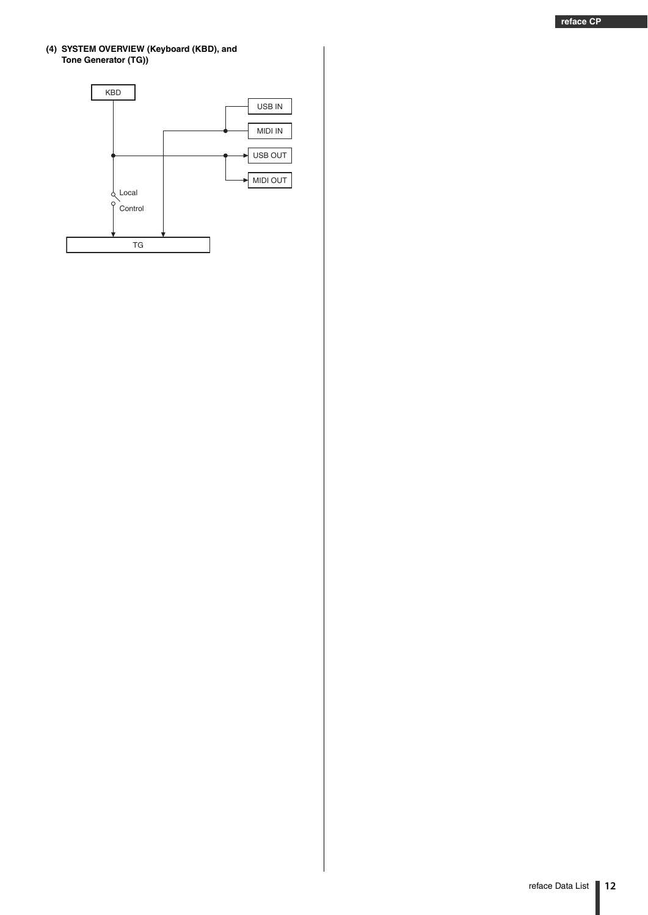#### **(4) SYSTEM OVERVIEW (Keyboard (KBD), and Tone Generator (TG))**

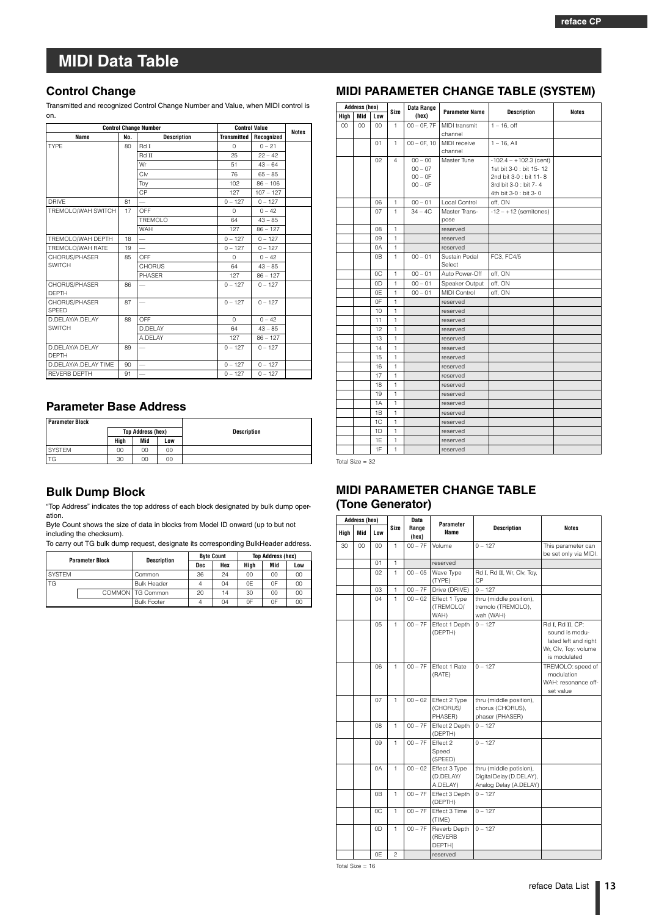### <span id="page-12-0"></span>**Control Change**

Transmitted and recognized Control Change Number and Value, when MIDI control is on.

|                                 | <b>Control Change Number</b> |                          |                    | <b>Control Value</b> |              |  |  |
|---------------------------------|------------------------------|--------------------------|--------------------|----------------------|--------------|--|--|
| No.<br>Name                     |                              | <b>Description</b>       | <b>Transmitted</b> | Recognized           | <b>Notes</b> |  |  |
| <b>TYPF</b>                     | 80                           | Rd I                     | $\cap$             | $0 - 21$             |              |  |  |
|                                 |                              | Rd II                    | 25                 | $22 - 42$            |              |  |  |
|                                 |                              | Wr                       | 51                 | $43 - 64$            |              |  |  |
|                                 |                              | Clv                      | 76                 | $65 - 85$            |              |  |  |
|                                 |                              | Toy                      | 102                | $86 - 106$           |              |  |  |
|                                 |                              | <b>CP</b>                | 127                | $107 - 127$          |              |  |  |
| <b>DRIVE</b>                    | 81                           |                          | $0 - 127$          | $0 - 127$            |              |  |  |
| TREMOLO/WAH SWITCH              | 17                           | OFF                      | $\Omega$           | $0 - 42$             |              |  |  |
|                                 |                              | <b>TREMOLO</b>           | 64                 | $43 - 85$            |              |  |  |
|                                 |                              | <b>WAH</b>               | 127                | $86 - 127$           |              |  |  |
| TREMOLO/WAH DEPTH               | 18                           | $\overline{\phantom{0}}$ | $0 - 127$          | $0 - 127$            |              |  |  |
| TREMOLO/WAH RATE                | 19                           | $\overline{\phantom{0}}$ | $0 - 127$          | $0 - 127$            |              |  |  |
| CHORUS/PHASER                   | 85                           | OFF                      | $\Omega$           | $0 - 42$             |              |  |  |
| <b>SWITCH</b>                   |                              | <b>CHORUS</b>            | 64                 | $43 - 85$            |              |  |  |
|                                 |                              | <b>PHASER</b>            | 127                | $86 - 127$           |              |  |  |
| CHORUS/PHASER<br><b>DEPTH</b>   | 86                           |                          | $0 - 127$          | $0 - 127$            |              |  |  |
| CHORUS/PHASER<br>SPEED          | 87                           |                          | $0 - 127$          | $0 - 127$            |              |  |  |
| D.DELAY/A.DELAY                 | 88                           | OFF                      | $\cap$             | $0 - 42$             |              |  |  |
| <b>SWITCH</b>                   |                              | D.DELAY                  | 64                 | $43 - 85$            |              |  |  |
|                                 |                              | A.DELAY                  | 127                | $86 - 127$           |              |  |  |
| D.DELAY/A.DELAY<br><b>DEPTH</b> | 89                           |                          | $0 - 127$          | $0 - 127$            |              |  |  |
| D.DELAY/A.DELAY TIME            | 90                           | $\overline{\phantom{0}}$ | $0 - 127$          | $0 - 127$            |              |  |  |
| <b>REVERB DEPTH</b>             | 91                           |                          | $0 - 127$          | $0 - 127$            |              |  |  |

## **Parameter Base Address**

| <b>Parameter Block</b> |      |                          |     |                    |
|------------------------|------|--------------------------|-----|--------------------|
|                        |      | <b>Top Address (hex)</b> |     | <b>Description</b> |
|                        | High | Mid                      | Low |                    |
| <b>SYSTEM</b>          | 00   | 00                       | 00  |                    |
| TG                     | 30   | 00                       | 00  |                    |

### **Bulk Dump Block**

"Top Address" indicates the top address of each block designated by bulk dump operation.

Byte Count shows the size of data in blocks from Model ID onward (up to but not including the checksum).

To carry out TG bulk dump request, designate its corresponding BulkHeader address.

| <b>Parameter Block</b> |  | Description        | <b>Byte Count</b> |     | <b>Top Address (hex)</b> |     |     |
|------------------------|--|--------------------|-------------------|-----|--------------------------|-----|-----|
|                        |  | Dec                |                   | Hex | Hiah                     | Mid | Low |
| <b>SYSTEM</b>          |  | Common             | 36                | 24  | 00                       | CO  | 00  |
| TG                     |  | <b>Bulk Header</b> | 4                 | 04  | 0F                       | 0F  | 00  |
|                        |  | COMMON   TG Common | 20                | 14  | 30                       | CO  | 00  |
|                        |  | <b>Bulk Footer</b> | 4                 | 04  | 0F                       | 0F  | 00  |

| MIDI PARAMETER CHANGE TABLE (SYSTEM) |  |  |
|--------------------------------------|--|--|
|--------------------------------------|--|--|

| <b>Address (hex)</b> |     |        |              | Data Range                                       |                                 |                                                                                                                                 |              |
|----------------------|-----|--------|--------------|--------------------------------------------------|---------------------------------|---------------------------------------------------------------------------------------------------------------------------------|--------------|
| High                 | Mid | Low    | Size         | (hex)                                            | <b>Parameter Name</b>           | <b>Description</b>                                                                                                              | <b>Notes</b> |
| 00                   | 00  | $00\,$ | 1            | $00 - 0F$ . $7F$                                 | <b>MIDI</b> transmit<br>channel | $1 - 16$ . off                                                                                                                  |              |
|                      |     | 01     | $\mathbf{1}$ | $00 - 0F$ . 10                                   | MIDI receive<br>channel         | $1 - 16$ , All                                                                                                                  |              |
|                      |     | 02     | 4            | $00 - 00$<br>$00 - 07$<br>$00 - 0F$<br>$00 - 0F$ | Master Tune                     | $-102.4 - +102.3$ (cent)<br>1st bit 3-0 : bit 15-12<br>2nd bit 3-0 : bit 11-8<br>3rd bit 3-0 : bit 7-4<br>4th bit 3-0 : bit 3-0 |              |
|                      |     | 06     | $\mathbf{1}$ | $00 - 01$                                        | Local Control                   | off, ON                                                                                                                         |              |
|                      |     | 07     | $\mathbf{1}$ | $34 - 4C$                                        | Master Trans-<br>pose           | $-12 - +12$ (semitones)                                                                                                         |              |
|                      |     | 08     | $\mathbf{1}$ |                                                  | reserved                        |                                                                                                                                 |              |
|                      |     | 09     | $\mathbf{1}$ |                                                  | reserved                        |                                                                                                                                 |              |
|                      |     | 0A     | 1            |                                                  | reserved                        |                                                                                                                                 |              |
|                      |     | 0B     | $\mathbf{1}$ | $00 - 01$                                        | Sustain Pedal<br>Select         | FC3, FC4/5                                                                                                                      |              |
|                      |     | 0C     | $\mathbf{1}$ | $00 - 01$                                        | Auto Power-Off                  | off, ON                                                                                                                         |              |
|                      |     | 0D     | $\mathbf{1}$ | $00 - 01$                                        | Speaker Output                  | off, ON                                                                                                                         |              |
|                      |     | 0E     | $\mathbf{1}$ | $00 - 01$                                        | <b>MIDI Control</b>             | off, ON                                                                                                                         |              |
|                      |     | 0F     | $\mathbf{1}$ |                                                  | reserved                        |                                                                                                                                 |              |
|                      |     | 10     | $\mathbf{1}$ |                                                  | reserved                        |                                                                                                                                 |              |
|                      |     | 11     | 1            |                                                  | reserved                        |                                                                                                                                 |              |
|                      |     | 12     | 1            |                                                  | reserved                        |                                                                                                                                 |              |
|                      |     | 13     | 1            |                                                  | reserved                        |                                                                                                                                 |              |
|                      |     | 14     | $\mathbf{1}$ |                                                  | reserved                        |                                                                                                                                 |              |
|                      |     | 15     | $\mathbf{1}$ |                                                  | reserved                        |                                                                                                                                 |              |
|                      |     | 16     | $\mathbf{1}$ |                                                  | reserved                        |                                                                                                                                 |              |
|                      |     | 17     | 1            |                                                  | reserved                        |                                                                                                                                 |              |
|                      |     | 18     | 1            |                                                  | reserved                        |                                                                                                                                 |              |
|                      |     | 19     | 1            |                                                  | reserved                        |                                                                                                                                 |              |
|                      |     | 1A     | 1            |                                                  | reserved                        |                                                                                                                                 |              |
|                      |     | 1B     | 1            |                                                  | reserved                        |                                                                                                                                 |              |
|                      |     | 1C     | 1            |                                                  | reserved                        |                                                                                                                                 |              |
|                      |     | 1D     | 1            |                                                  | reserved                        |                                                                                                                                 |              |
|                      |     | 1E     | 1            |                                                  | reserved                        |                                                                                                                                 |              |
|                      |     | 1F     | $\mathbf{1}$ |                                                  | reserved                        |                                                                                                                                 |              |

Total Size = 32

## **MIDI PARAMETER CHANGE TABLE (Tone Generator)**

| Address (hex) |     |     |                |                |                                        |                                                                               |                                                                                                    |  |  |  |  |  |  |  |  |  |  |  |  |  |  |  |  |  |  | <b>Data</b> | Parameter |  |  |
|---------------|-----|-----|----------------|----------------|----------------------------------------|-------------------------------------------------------------------------------|----------------------------------------------------------------------------------------------------|--|--|--|--|--|--|--|--|--|--|--|--|--|--|--|--|--|--|-------------|-----------|--|--|
| High          | Mid | Low | Size           | Range<br>(hex) | <b>Description</b><br>Name             |                                                                               | <b>Notes</b>                                                                                       |  |  |  |  |  |  |  |  |  |  |  |  |  |  |  |  |  |  |             |           |  |  |
| 30            | CO  | 00  | $\mathbf{1}$   | $00 - 7F$      | Volume                                 | $0 - 127$                                                                     | This parameter can<br>be set only via MIDI.                                                        |  |  |  |  |  |  |  |  |  |  |  |  |  |  |  |  |  |  |             |           |  |  |
|               |     | 01  | 1              |                | reserved                               |                                                                               |                                                                                                    |  |  |  |  |  |  |  |  |  |  |  |  |  |  |  |  |  |  |             |           |  |  |
|               |     | 02  | 1              | $00 - 05$      | Wave Type<br>(TYPE)                    | Rd I, Rd II, Wr, Clv, Toy,<br>СP                                              |                                                                                                    |  |  |  |  |  |  |  |  |  |  |  |  |  |  |  |  |  |  |             |           |  |  |
|               |     | 03  | $\mathbf{1}$   | $00 - 7F$      | Drive (DRIVE)                          | $0 - 127$                                                                     |                                                                                                    |  |  |  |  |  |  |  |  |  |  |  |  |  |  |  |  |  |  |             |           |  |  |
|               |     | 04  | $\mathbf{1}$   | $00 - 02$      | Effect 1 Type<br>(TREMOLO/<br>WAH)     | thru (middle position),<br>tremolo (TREMOLO),<br>wah (WAH)                    |                                                                                                    |  |  |  |  |  |  |  |  |  |  |  |  |  |  |  |  |  |  |             |           |  |  |
|               |     | 05  | 1              | $00 - 7F$      | Effect 1 Depth<br>(DEPTH)              | $0 - 127$                                                                     | Rd I, Rd II, CP:<br>sound is modu-<br>lated left and right<br>Wr, Clv, Toy: volume<br>is modulated |  |  |  |  |  |  |  |  |  |  |  |  |  |  |  |  |  |  |             |           |  |  |
|               |     | 06  | $\mathbf{1}$   | $00 - 7F$      | Effect 1 Rate<br>(RATE)                | $0 - 127$                                                                     | TREMOLO: speed of<br>modulation<br>WAH: resonance off-<br>set value                                |  |  |  |  |  |  |  |  |  |  |  |  |  |  |  |  |  |  |             |           |  |  |
|               |     | 07  | $\mathbf{1}$   | $00 - 02$      | Effect 2 Type<br>(CHORUS/<br>PHASER)   | thru (middle position),<br>chorus (CHORUS).<br>phaser (PHASER)                |                                                                                                    |  |  |  |  |  |  |  |  |  |  |  |  |  |  |  |  |  |  |             |           |  |  |
|               |     | 08  | $\mathbf{1}$   | $00 - 7F$      | Effect 2 Depth<br>(DEPTH)              | $0 - 127$                                                                     |                                                                                                    |  |  |  |  |  |  |  |  |  |  |  |  |  |  |  |  |  |  |             |           |  |  |
|               |     | 09  | $\mathbf{1}$   | $00 - 7F$      | Effect 2<br>Speed<br>(SPEED)           | $0 - 127$                                                                     |                                                                                                    |  |  |  |  |  |  |  |  |  |  |  |  |  |  |  |  |  |  |             |           |  |  |
|               |     | 0A  | $\mathbf{1}$   | $00 - 02$      | Effect 3 Type<br>(D.DELAY/<br>A.DELAY) | thru (middle potision),<br>Digital Delay (D.DELAY),<br>Analog Delay (A.DELAY) |                                                                                                    |  |  |  |  |  |  |  |  |  |  |  |  |  |  |  |  |  |  |             |           |  |  |
|               |     | 0B  | $\mathbf{1}$   | $00 - 7F$      | Effect 3 Depth<br>(DEPTH)              | $0 - 127$                                                                     |                                                                                                    |  |  |  |  |  |  |  |  |  |  |  |  |  |  |  |  |  |  |             |           |  |  |
|               |     | 0C  | 1              | $00 - 7F$      | Effect 3 Time<br>(TIME)                | $0 - 127$                                                                     |                                                                                                    |  |  |  |  |  |  |  |  |  |  |  |  |  |  |  |  |  |  |             |           |  |  |
|               |     | 0D  | 1              | $00 - 7F$      | Reverb Depth<br>(REVERB<br>DEPTH)      | $0 - 127$                                                                     |                                                                                                    |  |  |  |  |  |  |  |  |  |  |  |  |  |  |  |  |  |  |             |           |  |  |
|               |     | 0F  | $\mathfrak{p}$ |                | reserved                               |                                                                               |                                                                                                    |  |  |  |  |  |  |  |  |  |  |  |  |  |  |  |  |  |  |             |           |  |  |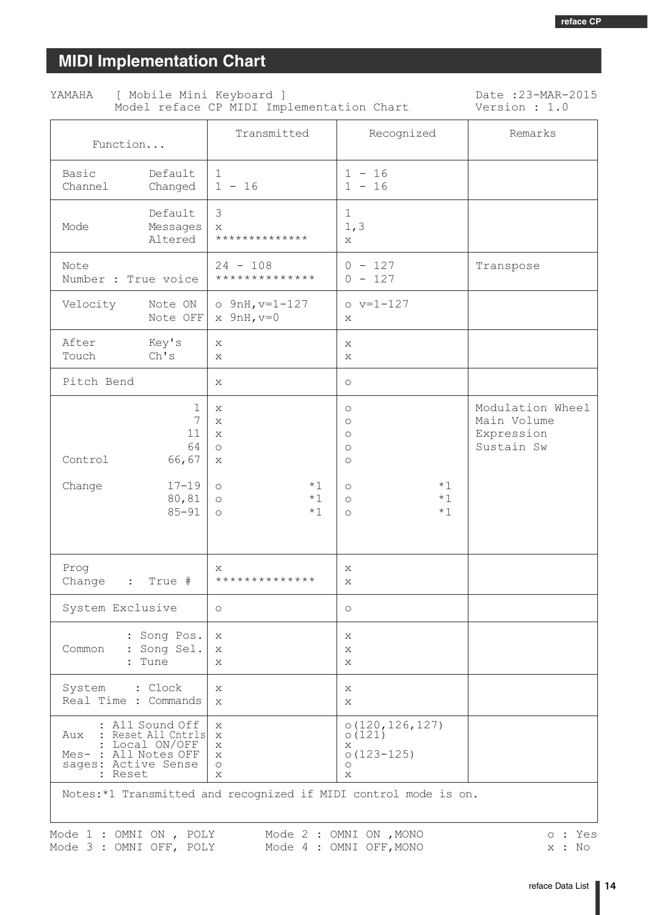# <span id="page-13-0"></span>**MIDI Implementation Chart**

| [ Mobile Mini Keyboard ]<br>YAMAHA<br>Model reface CP MIDI Implementation Chart | Date: 23-MAR-2015<br>Version : 1.0 |                                            |                      |           |
|---------------------------------------------------------------------------------|------------------------------------|--------------------------------------------|----------------------|-----------|
| Function                                                                        |                                    | Transmitted                                | Recognized           | Remarks   |
| Basic<br>Channel                                                                | Default<br>Changed                 | $\mathbf{1}$<br>$1 - 16$                   | $1 - 16$<br>$1 - 16$ |           |
| Mode                                                                            | Default<br>Messages<br>Altered     | 3<br>X<br>**************                   | 1<br>1, 3<br>X       |           |
| Note<br>Number : True voice                                                     |                                    | $24 - 108$<br>**************               | $0 - 127$<br>$-127$  | Transpose |
| Velocity                                                                        | Note ON<br>Note OFF                | $\circ$ 9nH, v=1-127<br>$x \quad 9nH, v=0$ | $o v=1-127$<br>X     |           |

| Velocity                                                                                                                           | Note ON<br>Note OFF             | $o$ 9nH, $v=1-127$<br>$x$ 9nH, $v=0$         |                      | $o v=1-127$<br>X                                                              |                      |                                                             |
|------------------------------------------------------------------------------------------------------------------------------------|---------------------------------|----------------------------------------------|----------------------|-------------------------------------------------------------------------------|----------------------|-------------------------------------------------------------|
| After<br>Touch<br>Ch's                                                                                                             | Key's                           | X<br>X                                       |                      | X<br>X                                                                        |                      |                                                             |
| Pitch Bend                                                                                                                         |                                 | Х                                            |                      | $\bigcirc$                                                                    |                      |                                                             |
| Control                                                                                                                            | 1<br>7<br>11<br>64<br>66,67     | Х<br>X<br>X<br>$\circ$<br>Х                  |                      | O<br>$\circ$<br>$\circ$<br>$\circ$<br>$\circlearrowright$                     |                      | Modulation Wheel<br>Main Volume<br>Expression<br>Sustain Sw |
| Change                                                                                                                             | $17 - 19$<br>80,81<br>$85 - 91$ | $\circ$<br>$\circlearrowright$<br>$\bigcirc$ | $*1$<br>$*1$<br>$*1$ | $\circ$<br>$\circ$<br>$\circ$                                                 | $*1$<br>$*1$<br>$*1$ |                                                             |
| Prog<br>Change<br>$\ddot{\phantom{a}}$                                                                                             | True #                          | X<br>**************                          |                      | X<br>X                                                                        |                      |                                                             |
| System Exclusive                                                                                                                   |                                 | $\circ$                                      |                      | $\circlearrowright$                                                           |                      |                                                             |
| : Song Pos.<br>Common<br>: Song Sel.<br>Tune<br>$\mathbf{r}$                                                                       |                                 | Х<br>Х<br>X                                  |                      | X<br>Х<br>X                                                                   |                      |                                                             |
| System<br>: Clock<br>Real Time : Commands                                                                                          |                                 | X<br>X                                       |                      | Х<br>$\mathbf{x}$                                                             |                      |                                                             |
| All Sound Off<br>Aux<br>Reset All Cntrls<br>Local ON/OFF<br>Mes- : All Notes OFF<br>sages: Active Sense<br>Reset<br>$\ddot{\cdot}$ |                                 | X<br>X<br>Χ<br>Х<br>$\bigcirc$<br>X          |                      | 0(120, 126, 127)<br>0(121)<br>X<br>$0(123 - 125)$<br>$\circlearrowright$<br>X |                      |                                                             |
| Notes:*1 Transmitted and recognized if MIDI control mode is on.                                                                    |                                 |                                              |                      |                                                                               |                      |                                                             |

Mode 1 : OMNI ON , POLY Mode 2 : OMNI ON , MONO<br>Mode 3 : OMNI OFF, POLY Mode 4 : OMNI OFF, MONO

o : Yes x : No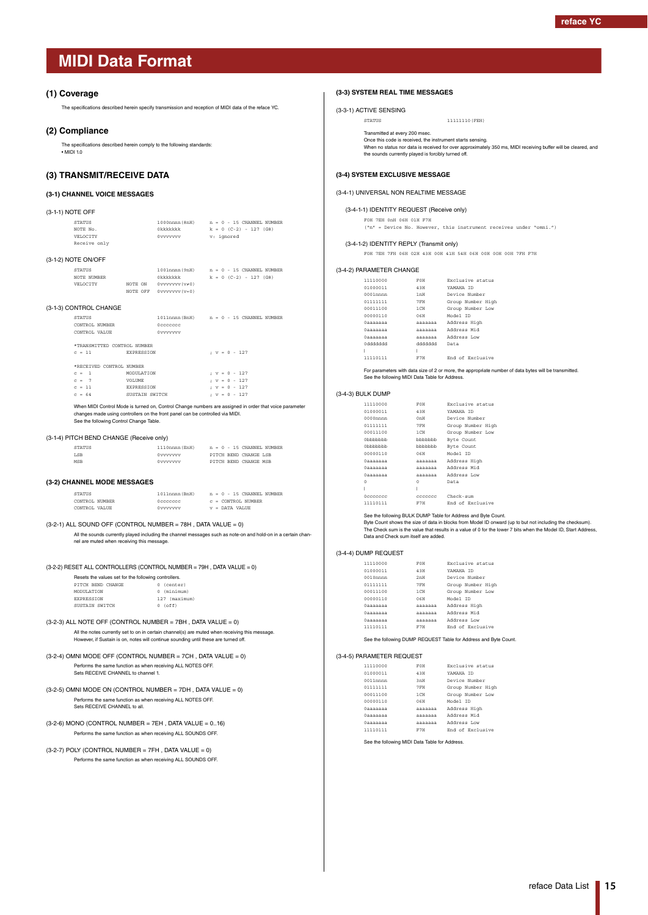#### <span id="page-14-1"></span><span id="page-14-0"></span>**(1) Coverage**

The specifications described herein specify transmission and reception of MIDI data of the reface YC.

#### **(2) Compliance**

The specifications described herein comply to the following standards:  $\cdot$  MIDI 10

### **(3) TRANSMIT/RECEIVE DATA**

#### **(3-1) CHANNEL VOICE MESSAGES**

| (3-1-1) NOTE OFF |               |                |                             |
|------------------|---------------|----------------|-----------------------------|
|                  | <b>STATUS</b> | 1000nnnn (8nH) | $n = 0 - 15$ CHANNEL NUMBER |
|                  | NOTE No.      | Okkkkkkk       | $k = 0$ (C-2) - 127 (G8)    |
|                  | VELOCTTY      | 0vvvvvvv       | v: ignored                  |
|                  | Receive only  |                |                             |

#### (3-1-2) NOTE ON/OFF

| STATUS      |         |          | 1001nnnn (9nH)     |  |  |  |                          | $n = 0 - 15$ CHANNEL NUMBER |
|-------------|---------|----------|--------------------|--|--|--|--------------------------|-----------------------------|
| NOTE NUMBER |         |          | Okkkkkkk           |  |  |  | $k = 0$ (C-2) - 127 (G8) |                             |
| VELOCTTY    | NOTE ON |          | 0vvvvvvv(v≠0)      |  |  |  |                          |                             |
|             |         | NOTE OFF | $0$ vvvvvv $(v=0)$ |  |  |  |                          |                             |
|             |         |          |                    |  |  |  |                          |                             |

#### (3-1-3) CONTROL CHANGE

| <b>STATUS</b>               |                   | $1011$ nnnn (BnH) $n = 0 - 15$ CHANNEL NUMBER |  |  |                 |  |
|-----------------------------|-------------------|-----------------------------------------------|--|--|-----------------|--|
| CONTROL NUMBER              |                   | Occoccoc                                      |  |  |                 |  |
| CONTROL VALUE               |                   | Ovvvvvvv                                      |  |  |                 |  |
| *TRANSMITTRD CONTROL NUMBER |                   |                                               |  |  |                 |  |
|                             |                   |                                               |  |  |                 |  |
| $C = 11$                    | <b>EXPRESSION</b> |                                               |  |  | $: v = 0 - 127$ |  |
| *RECEIVED CONTROL NUMBER    |                   |                                               |  |  |                 |  |
| $c = 1$                     | MODIJI.ATTON      |                                               |  |  | $: v = 0 - 127$ |  |
| $C = 7$                     | VOLUME.           |                                               |  |  | $: v = 0 - 127$ |  |
| $c = 11$                    | <b>EXPRESSION</b> |                                               |  |  | $: v = 0 - 127$ |  |
| $C = 64$                    | SUSTAIN SWITCH    |                                               |  |  | $: v = 0 - 127$ |  |
|                             |                   |                                               |  |  |                 |  |

When MIDI Control Mode is turned on, Control Change numbers are assigned in order that voice parameter changes made using controllers on the front panel can be controlled via MIDI. See the following Control Change Table.

#### (3-1-4) PITCH BEND CHANGE (Receive only)

| <b>STATUS</b> | 1110nnnn (EnH) | $n = 0 - 15$ CHANNEL NUMBER |
|---------------|----------------|-----------------------------|
| <b>LSB</b>    | Ovvvvvvv       | PITCH REND CHANGE LSB       |
| MSR           | Ovvvvvvv       | PITCH BEND CHANGE MSB       |

#### **(3-2) CHANNEL MODE MESSAGES**

 $\verb|STATUS| = 1011nnnn\, (BnH) \qquad \verb|n = 0 - 15 | CHANNEL| NUMBER$  $\begin{array}{ccc} \text{CONTROL NUMBER} & \text{Occcccc} & \text{c = CONTROL NUMBER} \\ \text{CONTROL VALUE} & \text{OVVVVVVV} & \text{v = DATA VALUE} \end{array}$  $v =$  DATA VALUE

#### (3-2-1) ALL SOUND OFF (CONTROL NUMBER = 78H , DATA VALUE = 0)

All the sounds currently played including the channel messages such as note-on and hold-on in a certain channel are muted when receiving this message.

(3-2-2) RESET ALL CONTROLLERS (CONTROL NUMBER = 79H , DATA VALUE = 0)

| Resets the values set for the following controllers. |  |               |  |  |  |  |
|------------------------------------------------------|--|---------------|--|--|--|--|
| PITCH BEND CHANGE                                    |  | $0$ (center)  |  |  |  |  |
| MODIILATION                                          |  | 0 (minimum)   |  |  |  |  |
| <b>EXPRESSION</b>                                    |  | 127 (maximum) |  |  |  |  |
| SUSTAIN SWITCH                                       |  | $0$ (off)     |  |  |  |  |

- (3-2-3) ALL NOTE OFF (CONTROL NUMBER = 7BH , DATA VALUE = 0) All the notes currently set to on in certain channel(s) are muted when receiving this message. However, if Sustain is on, notes will continue sounding until these are turned off.
- (3-2-4) OMNI MODE OFF (CONTROL NUMBER = 7CH , DATA VALUE = 0) Performs the same function as when receiving ALL NOTES OFF. Sets RECEIVE CHANNEL to channel 1.
- (3-2-5) OMNI MODE ON (CONTROL NUMBER = 7DH , DATA VALUE = 0) Performs the same function as when receiving ALL NOTES OFF. Sets RECEIVE CHANNEL to all.
- $(3-2-6)$  MONO (CONTROL NUMBER = 7EH, DATA VALUE =  $0..16$ ) Performs the same function as when receiving ALL SOUNDS OFF.
- $(3-2-7)$  POLY (CONTROL NUMBER = 7FH, DATA VALUE = 0) Performs the same function as when receiving ALL SOUNDS OFF.

#### **(3-3) SYSTEM REAL TIME MESSAGES**

(3-3-1) ACTIVE SENSING

STATUS 11111110(FEH)

Transmitted at every 200 msec.

Once this code is received, the instrument starts sensing. When no status nor data is received for over approximately 350 ms, MIDI receiving buffer will be cleared, and the sounds currently played is forcibly turned off.

#### **(3-4) SYSTEM EXCLUSIVE MESSAGE**

#### (3-4-1) UNIVERSAL NON REALTIME MESSAGE

(3-4-1-1) IDENTITY REQUEST (Receive only)

#### F0H 7EH 0nH 06H 01H F7H

("n" = Device No. However, this instrument receives under "omni.")

#### (3-4-1-2) IDENTITY REPLY (Transmit only)

F0H 7EH 7FH 06H 02H 43H 00H 41H 54H 06H 00H 00H 00H 7FH F7H

#### (3-4-2) PARAMETER CHANGE

| 11110000    | FOH             | Exclusive status  |
|-------------|-----------------|-------------------|
| 01000011    | 43H             | YAMAHA TD         |
| $0001$ nnnn | 1 <sub>TH</sub> | Device Number     |
| 01111111    | 7FH             | Group Number High |
| 00011100    | $1$ CH          | Group Number Low  |
| 00000110    | 0.6H            | Model ID          |
| 0aaaaaaa    | <b>AAAAAAA</b>  | Address High      |
| 0aaaaaaa    | <b>AAAAAAA</b>  | Address Mid       |
| 0aaaaaaa    | <b>AAAAAAA</b>  | Address Low       |
| hhhhhhh 0   | hhhhhhh         | Data              |
|             | I               |                   |
| 11110111    | F7H             | End of Exclusive  |

For parameters with data size of 2 or more, the appropriate number of data bytes will be transmitted. See the following MIDI Data Table for Address.

#### (3-4-3) BULK DUMP

| 11110000              | FOH              | Exclusive status    |
|-----------------------|------------------|---------------------|
| 01000011              | 43H              | YAMAHA ID           |
| $0000$ nnnn           | 0nH              | Device Number       |
| 01111111              | 7 FH             | Group Number High   |
| 00011100              | 1 CH             | Group Number Low    |
| 0 <sub>h</sub> hhhhhh | bbbbbbb          | Byte Count          |
| 0 <sub>h</sub> hhhhhh | bbbbbbb          | Byte Count          |
| 00000110              | O <sub>6</sub> H | Model TD            |
| 0aaaaaaa              | aaaaaaa          | Address High        |
| 0aaaaaaa              | ааааааа          | Address Mid         |
| 0aaaaaaa              |                  | aaaaaaa Address Low |
| $\Omega$              | 0                | Data                |
| I                     | Ī                |                     |
| Occccccc              | ccccccc          | $Check-sum$         |
| 11110111              | F7H              | End of Exclusive    |

See the following BULK DUMP Table for Address and Byte Count.

Byte Count shows the size of data in blocks from Model ID onward (up to but not including the checksum). The Check sum is the value that results in a value of 0 for the lower 7 bits when the Model ID, Start Address, Data and Check sum itself are added.

#### (3-4-4) DUMP REQUEST

| 11110000    | FOH     | Exclusive status  |
|-------------|---------|-------------------|
| 01000011    | 43H     | YAMAHA TD         |
| $0010$ nnnn | 2nH     | Device Number     |
| 01111111    | 7FH     | Group Number High |
| 00011100    | $1$ CH  | Group Number Low  |
| 00000110    | 0.6H    | Model TD          |
| Одаааааа    | aaaaaaa | Address High      |
| Одаааааа    | aaaaaaa | Address Mid       |
| Одаааааа    | aaaaaaa | Address Low       |
| 11110111    | F7H     | End of Exclusive  |
|             |         |                   |

See the following DUMP REQUEST Table for Address and Byte Count.

#### (3-4-5) PARAMETER REQUEST

| 11110000    | FOH            | Exclusive status  |
|-------------|----------------|-------------------|
| 01000011    | 43H            | YAMAHA TD         |
| $0011$ nnnn | 3mH            | Device Number     |
| 01111111    | 7FH            | Group Number High |
| 00011100    | $1$ CH         | Group Number Low  |
| 00000110    | 0.6H           | Model TD          |
| Одаааааа    | <b>AAAAAAA</b> | Address High      |
| Одаааааа    | aaaaaaa        | Address Mid       |
| Одаааааа    | AAAAAAA        | Address Low       |
| 11110111    | F7H            | End of Exclusive  |
|             |                |                   |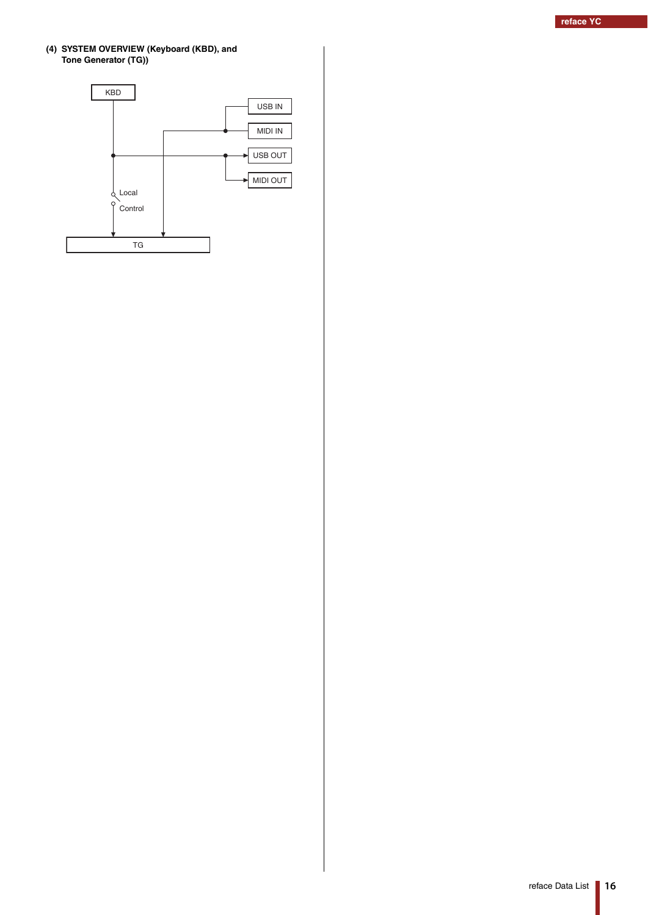#### **(4) SYSTEM OVERVIEW (Keyboard (KBD), and Tone Generator (TG))**

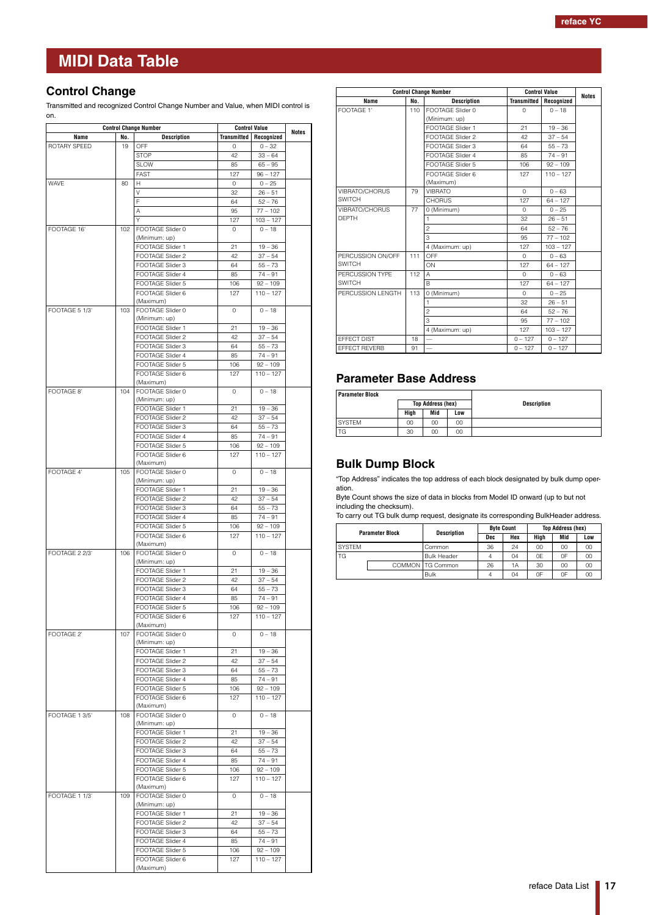### <span id="page-16-0"></span>**Control Change**

Transmitted and recognized Control Change Number and Value, when MIDI control is on.

| <b>Control Change Number</b> |     | <b>Control Value</b>                 | <b>Notes</b>       |                           |  |
|------------------------------|-----|--------------------------------------|--------------------|---------------------------|--|
| Name                         | No. | <b>Description</b>                   | <b>Transmitted</b> | Recognized                |  |
| ROTARY SPEED                 | 19  | OFF                                  | 0                  | $0 - 32$                  |  |
|                              |     | <b>STOP</b>                          | 42                 | $33 - 64$                 |  |
|                              |     | <b>SLOW</b><br>FAST                  | 85<br>127          | $65 - 95$<br>$96 - 127$   |  |
| WAVE                         | 80  | H                                    | 0                  | $0 - 25$                  |  |
|                              |     | V                                    | 32                 | $26 - 51$                 |  |
|                              |     | F                                    | 64                 | $52 - 76$                 |  |
|                              |     | Α                                    | 95                 | $77 - 102$                |  |
|                              |     | Υ                                    | 127                | $103 - 127$               |  |
| FOOTAGE 16"                  | 102 | FOOTAGE Slider 0                     | 0                  | $0 - 18$                  |  |
|                              |     | (Minimum: up)<br>FOOTAGE Slider 1    | 21                 | $19 - 36$                 |  |
|                              |     | FOOTAGE Slider 2                     | 42                 | $37 - 54$                 |  |
|                              |     | FOOTAGE Slider 3                     | 64                 | $55 - 73$                 |  |
|                              |     | FOOTAGE Slider 4                     | 85                 | $74 - 91$                 |  |
|                              |     | FOOTAGE Slider 5                     | 106                | $92 - 109$                |  |
|                              |     | FOOTAGE Slider 6                     | 127                | $110 - 127$               |  |
|                              |     | (Maximum)<br>FOOTAGE Slider 0        | $\circ$            | $0 - 18$                  |  |
| FOOTAGE 5 1/3'               | 103 | (Minimum: up)                        |                    |                           |  |
|                              |     | FOOTAGE Slider 1                     | 21                 | $19 - 36$                 |  |
|                              |     | FOOTAGE Slider 2                     | 42                 | $37 - 54$                 |  |
|                              |     | FOOTAGE Slider 3                     | 64                 | $55 - 73$                 |  |
|                              |     | FOOTAGE Slider 4                     | 85                 | $74 - 91$                 |  |
|                              |     | FOOTAGE Slider 5                     | 106                | $92 - 109$                |  |
|                              |     | FOOTAGE Slider 6<br>(Maximum)        | 127                | $110 - 127$               |  |
| FOOTAGE 8'                   | 104 | FOOTAGE Slider 0                     | 0                  | $0 - 18$                  |  |
|                              |     | (Minimum: up)                        |                    |                           |  |
|                              |     | FOOTAGE Slider 1                     | 21                 | $19 - 36$                 |  |
|                              |     | FOOTAGE Slider 2                     | 42                 | $37 - 54$                 |  |
|                              |     | FOOTAGE Slider 3                     | 64                 | $55 - 73$                 |  |
|                              |     | FOOTAGE Slider 4                     | 85                 | $74 - 91$                 |  |
|                              |     | FOOTAGE Slider 5<br>FOOTAGE Slider 6 | 106<br>127         | $92 - 109$<br>$110 - 127$ |  |
|                              |     | (Maximum)                            |                    |                           |  |
| FOOTAGE 4'                   | 105 | FOOTAGE Slider 0                     | $\circ$            | $0 - 18$                  |  |
|                              |     | (Minimum: up)                        |                    |                           |  |
|                              |     | FOOTAGE Slider 1                     | 21                 | $19 - 36$                 |  |
|                              |     | FOOTAGE Slider 2                     | 42                 | $37 - 54$                 |  |
|                              |     | FOOTAGE Slider 3<br>FOOTAGE Slider 4 | 64<br>85           | $55 - 73$<br>$74 - 91$    |  |
|                              |     | FOOTAGE Slider 5                     | 106                | $92 - 109$                |  |
|                              |     | FOOTAGE Slider 6                     | 127                | $110 - 127$               |  |
|                              |     | (Maximum)                            |                    |                           |  |
| FOOTAGE 2 2/3'               | 106 | FOOTAGE Slider 0                     | 0                  | $0 - 18$                  |  |
|                              |     | (Minimum: up)<br>FOOTAGE Slider 1    | 21                 |                           |  |
|                              |     | FOOTAGE Slider 2                     | 42                 | $19 - 36$<br>$37 - 54$    |  |
|                              |     | FOOTAGE Slider 3                     | 64                 | $55 - 73$                 |  |
|                              |     | FOOTAGE Slider 4                     | 85                 | $74 - 91$                 |  |
|                              |     | FOOTAGE Slider 5                     | 106                | $92 - 109$                |  |
|                              |     | FOOTAGE Slider 6                     | 127                | $110 - 127$               |  |
|                              |     | (Maximum)                            |                    |                           |  |
| FOOTAGE 2'                   | 107 | FOOTAGE Slider 0<br>(Minimum: up)    | 0                  | $0 - 18$                  |  |
|                              |     | FOOTAGE Slider 1                     | 21                 | $19 - 36$                 |  |
|                              |     | FOOTAGE Slider 2                     | 42                 | $37 - 54$                 |  |
|                              |     | FOOTAGE Slider 3                     | 64                 | $55 - 73$                 |  |
|                              |     | FOOTAGE Slider 4                     | 85                 | $74 - 91$                 |  |
|                              |     | FOOTAGE Slider 5                     | 106                | $92 - 109$                |  |
|                              |     | FOOTAGE Slider 6<br>(Maximum)        | 127                | $110 - 127$               |  |
| FOOTAGE 1 3/5'               | 108 | FOOTAGE Slider 0                     | $\circ$            | $0 - 18$                  |  |
|                              |     | (Minimum: up)                        |                    |                           |  |
|                              |     | FOOTAGE Slider 1                     | 21                 | $19 - 36$                 |  |
|                              |     | FOOTAGE Slider 2                     | 42                 | $37 - 54$                 |  |
|                              |     | FOOTAGE Slider 3                     | 64                 | $55 - 73$                 |  |
|                              |     | FOOTAGE Slider 4                     | 85                 | $74 - 91$                 |  |
|                              |     | FOOTAGE Slider 5<br>FOOTAGE Slider 6 | 106<br>127         | $92 - 109$<br>$110 - 127$ |  |
|                              |     | (Maximum)                            |                    |                           |  |
| FOOTAGE 1 1/3'               | 109 | FOOTAGE Slider 0                     | 0                  | $0 - 18$                  |  |
|                              |     | (Minimum: up)                        |                    |                           |  |
|                              |     | FOOTAGE Slider 1                     | 21                 | $19 - 36$                 |  |
|                              |     | FOOTAGE Slider 2                     | 42                 | $37 - 54$                 |  |
|                              |     | FOOTAGE Slider 3<br>FOOTAGE Slider 4 | 64<br>85           | $55 - 73$<br>$74 - 91$    |  |
|                              |     | FOOTAGE Slider 5                     | 106                | $92 - 109$                |  |
|                              |     | FOOTAGE Slider 6                     | 127                | $110 - 127$               |  |
|                              |     | (Maximum)                            |                    |                           |  |

|                   |     | <b>Control Change Number</b> |                    | <b>Control Value</b> |              |  |
|-------------------|-----|------------------------------|--------------------|----------------------|--------------|--|
| Name              | No. | <b>Description</b>           | <b>Transmitted</b> | Recognized           | <b>Notes</b> |  |
| FOOTAGE 1'        | 110 | FOOTAGE Slider 0             | $\Omega$           | $0 - 18$             |              |  |
|                   |     | (Minimum: up)                |                    |                      |              |  |
|                   |     | FOOTAGE Slider 1             | 21                 | $19 - 36$            |              |  |
|                   |     | FOOTAGE Slider 2             | 42                 | $37 - 54$            |              |  |
|                   |     | FOOTAGE Slider 3             | 64                 | $55 - 73$            |              |  |
|                   |     | FOOTAGE Slider 4             | 85                 | $74 - 91$            |              |  |
|                   |     | FOOTAGE Slider 5             | 106                | $92 - 109$           |              |  |
|                   |     | FOOTAGE Slider 6             | 127                | $110 - 127$          |              |  |
|                   |     | (Maximum)                    |                    |                      |              |  |
| VIBRATO/CHORUS    | 79  | VIBRATO                      | $\Omega$           | $0 - 63$             |              |  |
| <b>SWITCH</b>     |     | <b>CHORUS</b>                | 127                | $64 - 127$           |              |  |
| VIBRATO/CHORUS    | 77  | 0 (Minimum)                  | $\Omega$           | $0 - 25$             |              |  |
| <b>DEPTH</b>      |     | 1                            | 32                 | $26 - 51$            |              |  |
|                   |     | $\overline{c}$               | 64                 | $52 - 76$            |              |  |
|                   |     | 3                            | 95                 | $77 - 102$           |              |  |
|                   |     | 4 (Maximum: up)              | 127                | $103 - 127$          |              |  |
| PERCUSSION ON/OFF | 111 | OFF                          | $\Omega$           | $0 - 63$             |              |  |
| <b>SWITCH</b>     |     | ON                           | 127                | $64 - 127$           |              |  |
| PERCUSSION TYPE   | 112 | A                            | $\Omega$           | $0 - 63$             |              |  |
| SWITCH            |     | <sub>R</sub>                 | 127                | $64 - 127$           |              |  |
| PERCUSSION LENGTH | 113 | 0 (Minimum)                  | $\Omega$           | $0 - 25$             |              |  |
|                   |     | 1                            | 32                 | $26 - 51$            |              |  |
|                   |     | $\overline{c}$               | 64                 | $52 - 76$            |              |  |
|                   |     | 3                            | 95                 | $77 - 102$           |              |  |
|                   |     | 4 (Maximum: up)              | 127                | $103 - 127$          |              |  |
| EFFECT DIST       | 18  |                              | $0 - 127$          | $0 - 127$            |              |  |
| EFFECT REVERB     | 91  |                              | $0 - 127$          | $0 - 127$            |              |  |

## **Parameter Base Address**

| <b>Parameter Block</b> |      |                          |                    |  |
|------------------------|------|--------------------------|--------------------|--|
|                        |      | <b>Top Address (hex)</b> | <b>Description</b> |  |
|                        | High | Mid                      | Low                |  |
| <b>SYSTEM</b>          | 00   | 00                       | 00                 |  |
| TG                     | 30   | 00                       | 00                 |  |

### **Bulk Dump Block**

"Top Address" indicates the top address of each block designated by bulk dump operation.

Byte Count shows the size of data in blocks from Model ID onward (up to but not including the checksum).

To carry out TG bulk dump request, designate its corresponding BulkHeader address.

| <b>Parameter Block</b> |  | <b>Description</b> | <b>Byte Count</b> |     | <b>Top Address (hex)</b> |     |     |
|------------------------|--|--------------------|-------------------|-----|--------------------------|-----|-----|
|                        |  |                    | Dec               | Hex | Hiah                     | Mid | Low |
| <b>SYSTEM</b>          |  | Common             | 36                | 24  | 00                       | 00  | 00  |
| TG                     |  | <b>Bulk Header</b> |                   | 04  | 0E                       | 0F  | 00  |
|                        |  | COMMON TG Common   | 26                | 1A  | 30                       | 00  | 00  |
|                        |  | Bulk               | 4                 | 04  | 0F                       | 0F  | 00  |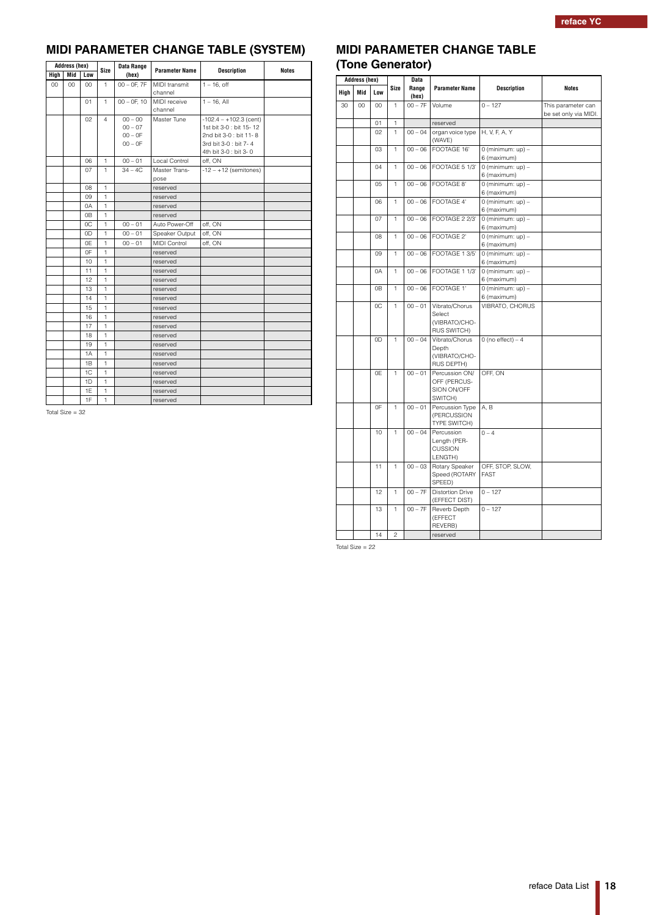## **MIDI PARAMETER CHANGE TABLE (SYSTEM)**

| <b>Address (hex)</b> |     |     |                | Data Range       | <b>Parameter Name</b> | <b>Description</b>       | <b>Notes</b> |
|----------------------|-----|-----|----------------|------------------|-----------------------|--------------------------|--------------|
| High                 | Mid | Low | <b>Size</b>    | (hex)            |                       |                          |              |
| 00                   | 00  | 00  | $\mathbf{1}$   | $00 - 0F$ , $7F$ | <b>MIDI</b> transmit  | $1 - 16$ , off           |              |
|                      |     |     |                |                  | channel               |                          |              |
|                      |     | 01  | $\mathbf{1}$   | $00 - 0F$ , 10   | MIDI receive          | $1 - 16$ , All           |              |
|                      |     |     |                |                  | channel               |                          |              |
|                      |     | 02  | $\overline{4}$ | $00 - 00$        | Master Tune           | $-102.4 - +102.3$ (cent) |              |
|                      |     |     |                | $00 - 07$        |                       | 1st bit 3-0 : bit 15-12  |              |
|                      |     |     |                | $00 - 0F$        |                       | 2nd bit 3-0 : bit 11-8   |              |
|                      |     |     |                | $00 - 0F$        |                       | 3rd bit 3-0 : bit 7-4    |              |
|                      |     |     |                |                  |                       | 4th bit 3-0 : bit 3-0    |              |
|                      |     | 06  | $\mathbf{1}$   | $00 - 01$        | Local Control         | off. ON                  |              |
|                      |     | 07  | $\mathbf{1}$   | $34 - 4C$        | Master Trans-<br>pose | $-12 - +12$ (semitones)  |              |
|                      |     | 08  | $\mathbf{1}$   |                  | reserved              |                          |              |
|                      |     | 09  | $\mathbf{1}$   |                  | reserved              |                          |              |
|                      |     | 0A  | $\mathbf{1}$   |                  | reserved              |                          |              |
|                      |     | 0B  | $\mathbf{1}$   |                  | reserved              |                          |              |
|                      |     | 0C  | 1              | $00 - 01$        | Auto Power-Off        | off, ON                  |              |
|                      |     | 0D  | $\mathbf{1}$   | $00 - 01$        | Speaker Output        | off, ON                  |              |
|                      |     | 0E  | $\mathbf{1}$   | $00 - 01$        | <b>MIDI Control</b>   | off, ON                  |              |
|                      |     | 0F  | $\mathbf{1}$   |                  | reserved              |                          |              |
|                      |     | 10  | $\mathbf{1}$   |                  | reserved              |                          |              |
|                      |     | 11  | $\mathbf{1}$   |                  | reserved              |                          |              |
|                      |     | 12  | $\mathbf{1}$   |                  | reserved              |                          |              |
|                      |     | 13  | $\mathbf{1}$   |                  | reserved              |                          |              |
|                      |     | 14  | $\mathbf{1}$   |                  | reserved              |                          |              |
|                      |     | 15  | $\mathbf{1}$   |                  | reserved              |                          |              |
|                      |     | 16  | $\mathbf{1}$   |                  | reserved              |                          |              |
|                      |     | 17  | $\mathbf{1}$   |                  | reserved              |                          |              |
|                      |     | 18  | 1              |                  | reserved              |                          |              |
|                      |     | 19  | $\mathbf{1}$   |                  | reserved              |                          |              |
|                      |     | 1A  | $\mathbf{1}$   |                  | reserved              |                          |              |
|                      |     | 1B  | $\mathbf{1}$   |                  | reserved              |                          |              |
|                      |     | 1C  | $\mathbf{1}$   |                  | reserved              |                          |              |
|                      |     | 1D  | $\mathbf{1}$   |                  | reserved              |                          |              |
|                      |     | 1E  | $\mathbf{1}$   |                  | reserved              |                          |              |
|                      |     | 1F  | $\mathbf{1}$   |                  | reserved              |                          |              |

Total Size = 32

## **MIDI PARAMETER CHANGE TABLE (Tone Generator)**

| <b>Address (hex)</b> |     |                 |                |                | <b>Data</b>                                                   |                                    |                                             |  |
|----------------------|-----|-----------------|----------------|----------------|---------------------------------------------------------------|------------------------------------|---------------------------------------------|--|
| High                 | Mid | Low             | Size           | Range<br>(hex) | <b>Parameter Name</b>                                         | <b>Description</b>                 | <b>Notes</b>                                |  |
| 30                   | CO  | 00 <sub>0</sub> | $\mathbf{1}$   | $00 - 7F$      | Volume                                                        | $0 - 127$                          | This parameter can<br>be set only via MIDI. |  |
|                      |     | 01              | 1              |                | reserved                                                      |                                    |                                             |  |
|                      |     | 02              | $\mathbf{1}$   | $00 - 04$      | organ voice type<br>(WAVE)                                    | H, V, F, A, Y                      |                                             |  |
|                      |     | 03              | $\mathbf{1}$   | $00 - 06$      | FOOTAGE 16'                                                   | $0$ (minimum: up) -<br>6 (maximum) |                                             |  |
|                      |     | 04              | $\mathbf{1}$   | $00 - 06$      | FOOTAGE 5 1/3'                                                | $0$ (minimum: up) -<br>6 (maximum) |                                             |  |
|                      |     | 05              | $\mathbf{1}$   | $00 - 06$      | FOOTAGE 8'                                                    | $0$ (minimum: up) -<br>6 (maximum) |                                             |  |
|                      |     | 06              | $\mathbf{1}$   | $00 - 06$      | FOOTAGE 4'                                                    | $0$ (minimum: up) -<br>6 (maximum) |                                             |  |
|                      |     | 07              | $\mathbf{1}$   | $00 - 06$      | FOOTAGE 2 2/3'                                                | $0$ (minimum: up) -<br>6 (maximum) |                                             |  |
|                      |     | 08              | $\mathbf{1}$   | $00 - 06$      | FOOTAGE 2'                                                    | $0$ (minimum: up) -<br>6 (maximum) |                                             |  |
|                      |     | 09              | 1              | $00 - 06$      | FOOTAGE 1 3/5'                                                | $0$ (minimum: up) -<br>6 (maximum) |                                             |  |
|                      |     | 0A              | $\mathbf{1}$   | $00 - 06$      | FOOTAGE 1 1/3'                                                | $0$ (minimum: up) -<br>6 (maximum) |                                             |  |
|                      |     | 0B              | $\mathbf{1}$   | $00 - 06$      | FOOTAGE 1'                                                    | $0$ (minimum: up) -<br>6 (maximum) |                                             |  |
|                      |     | 0C              | $\mathbf{1}$   | $00 - 01$      | Vibrato/Chorus<br>Select<br>(VIBRATO/CHO-<br>RUS SWITCH)      | VIBRATO, CHORUS                    |                                             |  |
|                      |     | 0D              | $\mathbf{1}$   | $00 - 04$      | Vibrato/Chorus<br>Depth<br>(VIBRATO/CHO-<br><b>RUS DEPTH)</b> | 0 (no effect) $-4$                 |                                             |  |
|                      |     | 0E              | 1              | $00 - 01$      | Percussion ON/<br>OFF (PERCUS-<br>SION ON/OFF<br>SWITCH)      | OFF, ON                            |                                             |  |
|                      |     | 0F              | $\mathbf{1}$   | $00 - 01$      | Percussion Type<br>(PERCUSSION<br>TYPE SWITCH)                | A, B                               |                                             |  |
|                      |     | 10              | $\mathbf{1}$   | $00 - 04$      | Percussion<br>Length (PER-<br>CUSSION<br>LENGTH)              | $0 - 4$                            |                                             |  |
|                      |     | 11              | $\mathbf{1}$   | $00 - 03$      | Rotary Speaker<br>Speed (ROTARY<br>SPEED)                     | OFF, STOP, SLOW,<br><b>FAST</b>    |                                             |  |
|                      |     | 12              | $\mathbf{1}$   | $00 - 7F$      | <b>Distortion Drive</b><br>(EFFECT DIST)                      | $0 - 127$                          |                                             |  |
|                      |     | 13              | $\mathbf{1}$   | $00 - 7F$      | Reverb Depth<br>(EFFECT<br>REVERB)                            | $0 - 127$                          |                                             |  |
|                      |     | 14              | $\overline{c}$ |                | reserved                                                      |                                    |                                             |  |